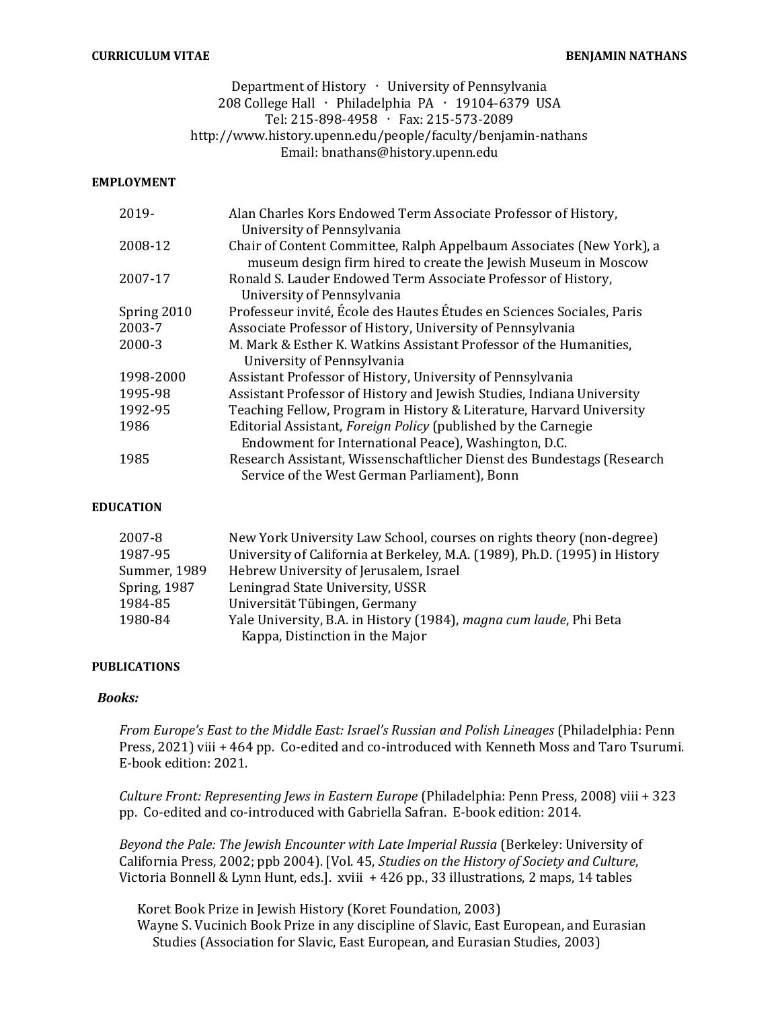#### CURRICULUM VITAE **BENJAMIN NATHANS**

# Department of History  $\cdot$  University of Pennsylvania 208 College Hall · Philadelphia PA · 19104-6379 USA Tel: 215-898-4958 · Fax: 215-573-2089 http://www.history.upenn.edu/people/faculty/benjamin-nathans Email: bnathans@history.upenn.edu

#### EMPLOYMENT

| 2019-       | Alan Charles Kors Endowed Term Associate Professor of History,                                                                         |
|-------------|----------------------------------------------------------------------------------------------------------------------------------------|
|             | University of Pennsylvania                                                                                                             |
| 2008-12     | Chair of Content Committee, Ralph Appelbaum Associates (New York), a<br>museum design firm hired to create the Jewish Museum in Moscow |
| 2007-17     | Ronald S. Lauder Endowed Term Associate Professor of History,                                                                          |
|             | University of Pennsylvania                                                                                                             |
| Spring 2010 | Professeur invité, École des Hautes Études en Sciences Sociales, Paris                                                                 |
| 2003-7      | Associate Professor of History, University of Pennsylvania                                                                             |
| 2000-3      | M. Mark & Esther K. Watkins Assistant Professor of the Humanities,                                                                     |
|             | University of Pennsylvania                                                                                                             |
| 1998-2000   | Assistant Professor of History, University of Pennsylvania                                                                             |
| 1995-98     | Assistant Professor of History and Jewish Studies, Indiana University                                                                  |
| 1992-95     | Teaching Fellow, Program in History & Literature, Harvard University                                                                   |
| 1986        | Editorial Assistant, <i>Foreign Policy</i> (published by the Carnegie                                                                  |
|             | Endowment for International Peace), Washington, D.C.                                                                                   |
| 1985        | Research Assistant, Wissenschaftlicher Dienst des Bundestags (Research                                                                 |
|             | Service of the West German Parliament), Bonn                                                                                           |

#### EDUCATION

| 2007-8              | New York University Law School, courses on rights theory (non-degree)      |
|---------------------|----------------------------------------------------------------------------|
| 1987-95             | University of California at Berkeley, M.A. (1989), Ph.D. (1995) in History |
| Summer, 1989        | Hebrew University of Jerusalem, Israel                                     |
| <b>Spring, 1987</b> | Leningrad State University, USSR                                           |
| 1984-85             | Universität Tübingen, Germany                                              |
| 1980-84             | Yale University, B.A. in History (1984), magna cum laude, Phi Beta         |
|                     | Kappa, Distinction in the Major                                            |

#### PUBLICATIONS

#### Books:

From Europe's East to the Middle East: Israel's Russian and Polish Lineages (Philadelphia: Penn Press, 2021) viii + 464 pp. Co-edited and co-introduced with Kenneth Moss and Taro Tsurumi. E-book edition: 2021.

Culture Front: Representing Jews in Eastern Europe (Philadelphia: Penn Press, 2008) viii + 323 pp. Co-edited and co-introduced with Gabriella Safran. E-book edition: 2014.

Beyond the Pale: The Jewish Encounter with Late Imperial Russia (Berkeley: University of California Press, 2002; ppb 2004). [Vol. 45, Studies on the History of Society and Culture, Victoria Bonnell & Lynn Hunt, eds.]. xviii + 426 pp., 33 illustrations, 2 maps, 14 tables

Koret Book Prize in Jewish History (Koret Foundation, 2003) Wayne S. Vucinich Book Prize in any discipline of Slavic, East European, and Eurasian Studies (Association for Slavic, East European, and Eurasian Studies, 2003)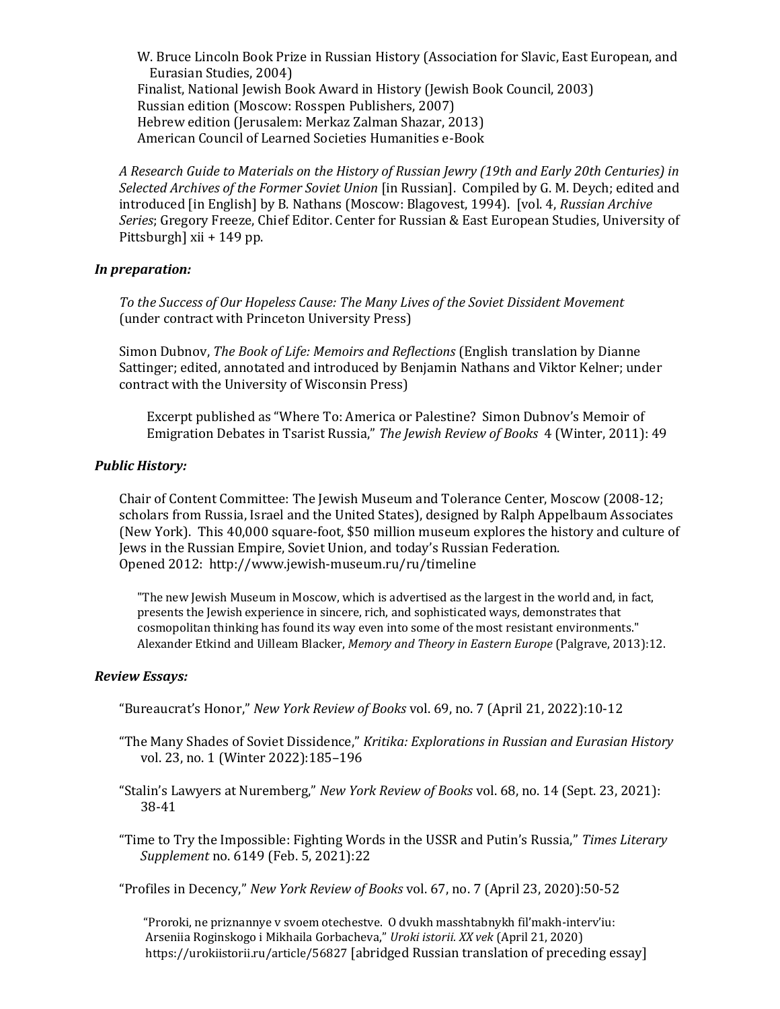W. Bruce Lincoln Book Prize in Russian History (Association for Slavic, East European, and Eurasian Studies, 2004) Finalist, National Jewish Book Award in History (Jewish Book Council, 2003) Russian edition (Moscow: Rosspen Publishers, 2007) Hebrew edition (Jerusalem: Merkaz Zalman Shazar, 2013) American Council of Learned Societies Humanities e-Book

A Research Guide to Materials on the History of Russian Jewry (19th and Early 20th Centuries) in Selected Archives of the Former Soviet Union [in Russian]. Compiled by G. M. Deych; edited and introduced [in English] by B. Nathans (Moscow: Blagovest, 1994). [vol. 4, Russian Archive Series; Gregory Freeze, Chief Editor. Center for Russian & East European Studies, University of Pittsburgh] xii + 149 pp.

### In preparation:

To the Success of Our Hopeless Cause: The Many Lives of the Soviet Dissident Movement (under contract with Princeton University Press)

Simon Dubnov, The Book of Life: Memoirs and Reflections (English translation by Dianne Sattinger; edited, annotated and introduced by Benjamin Nathans and Viktor Kelner; under contract with the University of Wisconsin Press)

 Excerpt published as "Where To: America or Palestine? Simon Dubnov's Memoir of Emigration Debates in Tsarist Russia," The Jewish Review of Books 4 (Winter, 2011): 49

#### Public History:

Chair of Content Committee: The Jewish Museum and Tolerance Center, Moscow (2008-12; scholars from Russia, Israel and the United States), designed by Ralph Appelbaum Associates (New York). This 40,000 square-foot, \$50 million museum explores the history and culture of Jews in the Russian Empire, Soviet Union, and today's Russian Federation. Opened 2012: http://www.jewish-museum.ru/ru/timeline

 "The new Jewish Museum in Moscow, which is advertised as the largest in the world and, in fact, presents the Jewish experience in sincere, rich, and sophisticated ways, demonstrates that cosmopolitan thinking has found its way even into some of the most resistant environments." Alexander Etkind and Uilleam Blacker, Memory and Theory in Eastern Europe (Palgrave, 2013):12.

#### Review Essays:

- "Bureaucrat's Honor," New York Review of Books vol. 69, no. 7 (April 21, 2022):10-12
- "The Many Shades of Soviet Dissidence," Kritika: Explorations in Russian and Eurasian History vol. 23, no. 1 (Winter 2022):185–196
- "Stalin's Lawyers at Nuremberg," New York Review of Books vol. 68, no. 14 (Sept. 23, 2021): 38-41
- "Time to Try the Impossible: Fighting Words in the USSR and Putin's Russia," Times Literary Supplement no. 6149 (Feb. 5, 2021):22

"Profiles in Decency," New York Review of Books vol. 67, no. 7 (April 23, 2020):50-52

 "Proroki, ne priznannye v svoem otechestve. O dvukh masshtabnykh fil'makh-interv'iu: Arseniia Roginskogo i Mikhaila Gorbacheva," Uroki istorii. XX vek (April 21, 2020) https://urokiistorii.ru/article/56827 [abridged Russian translation of preceding essay]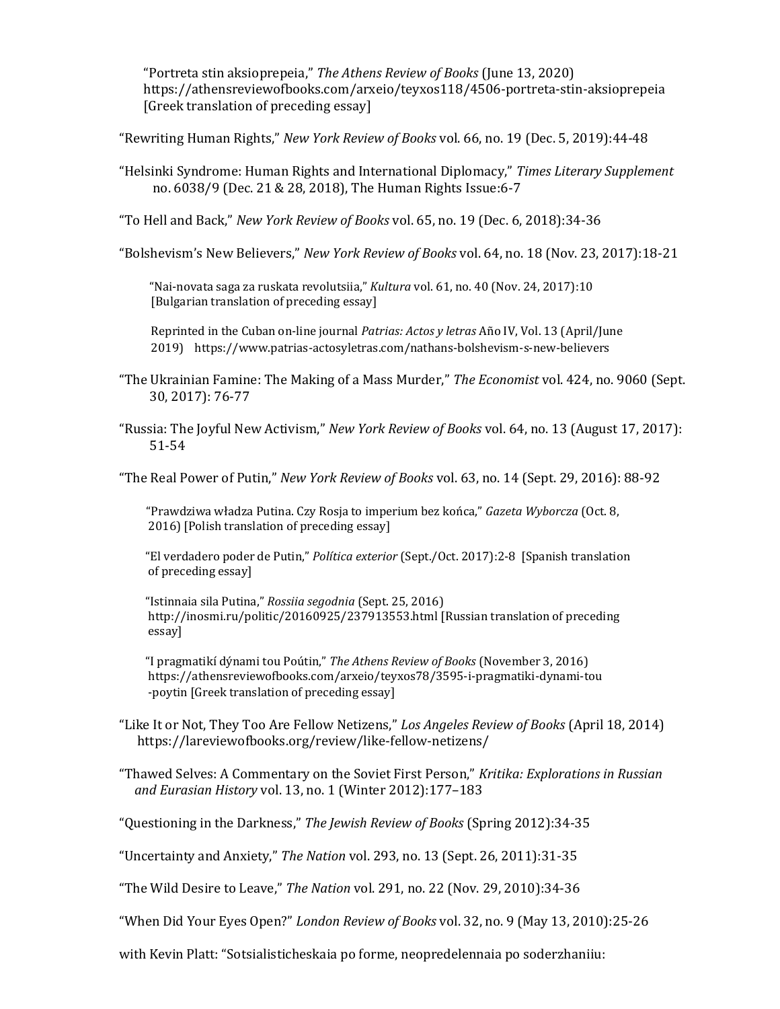"Portreta stin aksioprepeia," The Athens Review of Books (June 13, 2020) https://athensreviewofbooks.com/arxeio/teyxos118/4506-portreta-stin-aksioprepeia [Greek translation of preceding essay]

"Rewriting Human Rights," New York Review of Books vol. 66, no. 19 (Dec. 5, 2019):44-48

"Helsinki Syndrome: Human Rights and International Diplomacy," Times Literary Supplement no. 6038/9 (Dec. 21 & 28, 2018), The Human Rights Issue:6-7

"To Hell and Back," New York Review of Books vol. 65, no. 19 (Dec. 6, 2018):34-36

"Bolshevism's New Believers," New York Review of Books vol. 64, no. 18 (Nov. 23, 2017):18-21

 "Nai-novata saga za ruskata revolutsiia," Kultura vol. 61, no. 40 (Nov. 24, 2017):10 [Bulgarian translation of preceding essay]

 Reprinted in the Cuban on-line journal Patrias: Actos y letras Año IV, Vol. 13 (April/June 2019) https://www.patrias-actosyletras.com/nathans-bolshevism-s-new-believers

- "The Ukrainian Famine: The Making of a Mass Murder," The Economist vol. 424, no. 9060 (Sept. 30, 2017): 76-77
- "Russia: The Joyful New Activism," New York Review of Books vol. 64, no. 13 (August 17, 2017): 51-54

"The Real Power of Putin," New York Review of Books vol. 63, no. 14 (Sept. 29, 2016): 88-92

 "Prawdziwa władza Putina. Czy Rosja to imperium bez końca," Gazeta Wyborcza (Oct. 8, 2016) [Polish translation of preceding essay]

 "El verdadero poder de Putin," Política exterior (Sept./Oct. 2017):2-8 [Spanish translation of preceding essay]

 "Istinnaia sila Putina," Rossiia segodnia (Sept. 25, 2016) http://inosmi.ru/politic/20160925/237913553.html [Russian translation of preceding essay]

 "I pragmatikí dýnami tou Poútin," The Athens Review of Books (November 3, 2016) https://athensreviewofbooks.com/arxeio/teyxos78/3595-i-pragmatiki-dynami-tou -poytin [Greek translation of preceding essay]

"Like It or Not, They Too Are Fellow Netizens," Los Angeles Review of Books (April 18, 2014) https://lareviewofbooks.org/review/like-fellow-netizens/

"Thawed Selves: A Commentary on the Soviet First Person," Kritika: Explorations in Russian and Eurasian History vol. 13, no. 1 (Winter 2012):177–183

"Questioning in the Darkness," The Jewish Review of Books (Spring 2012):34-35

"Uncertainty and Anxiety," The Nation vol. 293, no. 13 (Sept. 26, 2011):31-35

"The Wild Desire to Leave," The Nation vol. 291, no. 22 (Nov. 29, 2010):34-36

"When Did Your Eyes Open?" London Review of Books vol. 32, no. 9 (May 13, 2010):25-26

with Kevin Platt: "Sotsialisticheskaia po forme, neopredelennaia po soderzhaniiu: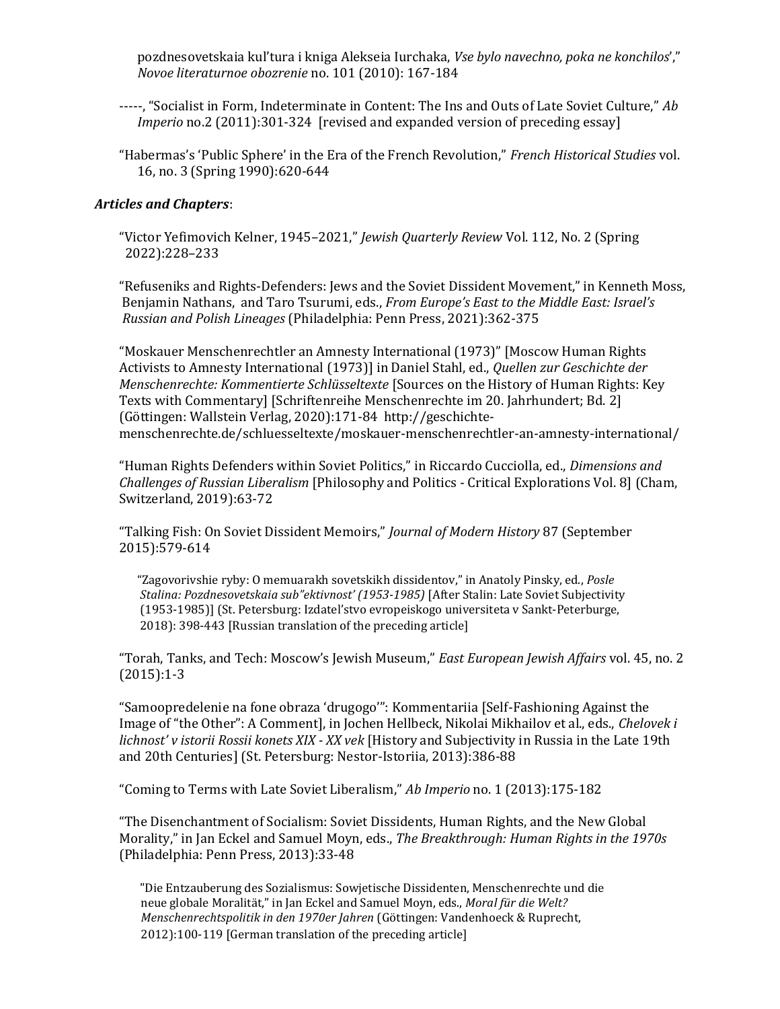pozdnesovetskaia kul'tura i kniga Alekseia Iurchaka, Vse bylo navechno, poka ne konchilos'," Novoe literaturnoe obozrenie no. 101 (2010): 167-184

- -----, "Socialist in Form, Indeterminate in Content: The Ins and Outs of Late Soviet Culture," Ab Imperio no.2 (2011):301-324 [revised and expanded version of preceding essay]
- "Habermas's 'Public Sphere' in the Era of the French Revolution," French Historical Studies vol. 16, no. 3 (Spring 1990):620-644

#### Articles and Chapters:

"Victor Yefimovich Kelner, 1945–2021," Jewish Quarterly Review Vol. 112, No. 2 (Spring 2022):228–233

"Refuseniks and Rights-Defenders: Jews and the Soviet Dissident Movement," in Kenneth Moss, Benjamin Nathans, and Taro Tsurumi, eds., From Europe's East to the Middle East: Israel's Russian and Polish Lineages (Philadelphia: Penn Press, 2021):362-375

"Moskauer Menschenrechtler an Amnesty International (1973)" [Moscow Human Rights Activists to Amnesty International (1973)] in Daniel Stahl, ed., Quellen zur Geschichte der Menschenrechte: Kommentierte Schlüsseltexte [Sources on the History of Human Rights: Key Texts with Commentary] [Schriftenreihe Menschenrechte im 20. Jahrhundert; Bd. 2] (Göttingen: Wallstein Verlag, 2020):171-84 http://geschichtemenschenrechte.de/schluesseltexte/moskauer-menschenrechtler-an-amnesty-international/

"Human Rights Defenders within Soviet Politics," in Riccardo Cucciolla, ed., Dimensions and Challenges of Russian Liberalism [Philosophy and Politics - Critical Explorations Vol. 8] (Cham, Switzerland, 2019):63-72

"Talking Fish: On Soviet Dissident Memoirs," Journal of Modern History 87 (September 2015):579-614

 "Zagovorivshie ryby: O memuarakh sovetskikh dissidentov," in Anatoly Pinsky, ed., Posle Stalina: Pozdnesovetskaia sub"ektivnost' (1953-1985) [After Stalin: Late Soviet Subjectivity (1953-1985)] (St. Petersburg: Izdatel'stvo evropeiskogo universiteta v Sankt-Peterburge, 2018): 398-443 [Russian translation of the preceding article]

"Torah, Tanks, and Tech: Moscow's Jewish Museum," East European Jewish Affairs vol. 45, no. 2 (2015):1-3

"Samoopredelenie na fone obraza 'drugogo'": Kommentariia [Self-Fashioning Against the Image of "the Other": A Comment], in Jochen Hellbeck, Nikolai Mikhailov et al., eds., Chelovek i lichnost' v istorii Rossii konets XIX - XX vek [History and Subjectivity in Russia in the Late 19th and 20th Centuries] (St. Petersburg: Nestor-Istoriia, 2013):386-88

"Coming to Terms with Late Soviet Liberalism," Ab Imperio no. 1 (2013):175-182

"The Disenchantment of Socialism: Soviet Dissidents, Human Rights, and the New Global Morality," in Jan Eckel and Samuel Moyn, eds., The Breakthrough: Human Rights in the 1970s (Philadelphia: Penn Press, 2013):33-48

 "Die Entzauberung des Sozialismus: Sowjetische Dissidenten, Menschenrechte und die neue globale Moralität," in Jan Eckel and Samuel Moyn, eds., Moral für die Welt? Menschenrechtspolitik in den 1970er Jahren (Göttingen: Vandenhoeck & Ruprecht, 2012):100-119 [German translation of the preceding article]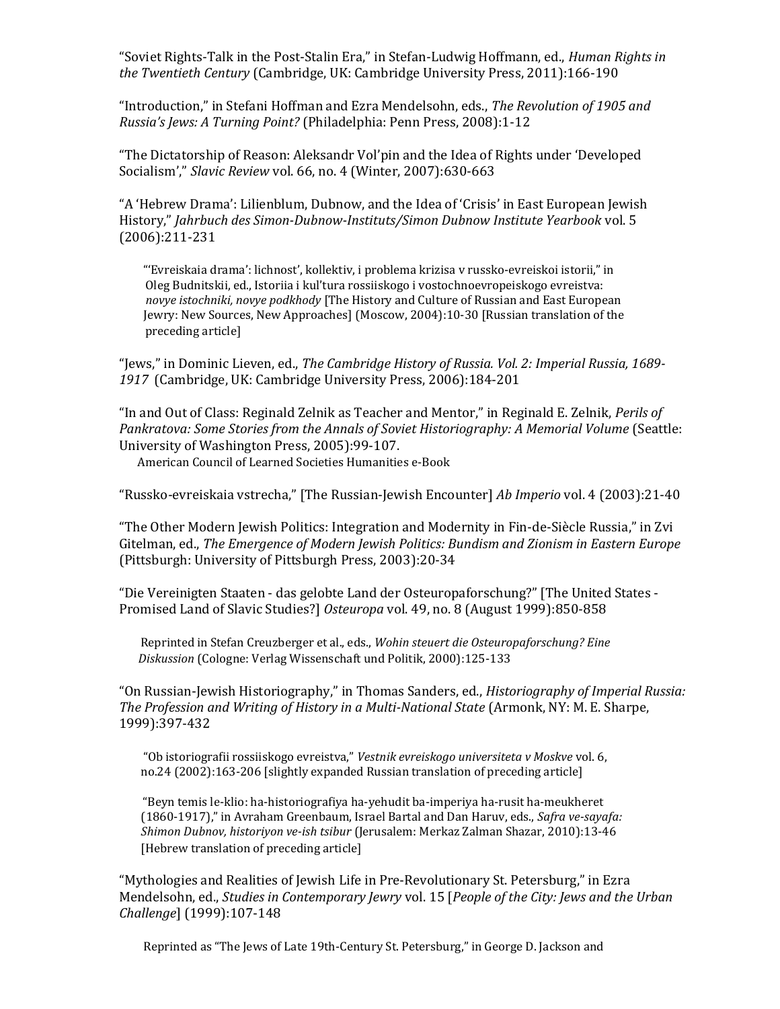"Soviet Rights-Talk in the Post-Stalin Era," in Stefan-Ludwig Hoffmann, ed., Human Rights in the Twentieth Century (Cambridge, UK: Cambridge University Press, 2011):166-190

"Introduction," in Stefani Hoffman and Ezra Mendelsohn, eds., The Revolution of 1905 and Russia's Jews: A Turning Point? (Philadelphia: Penn Press, 2008):1-12

"The Dictatorship of Reason: Aleksandr Vol'pin and the Idea of Rights under 'Developed Socialism'," Slavic Review vol. 66, no. 4 (Winter, 2007):630-663

"A 'Hebrew Drama': Lilienblum, Dubnow, and the Idea of 'Crisis' in East European Jewish History," Jahrbuch des Simon-Dubnow-Instituts/Simon Dubnow Institute Yearbook vol. 5 (2006):211-231

 "'Evreiskaia drama': lichnost', kollektiv, i problema krizisa v russko-evreiskoi istorii," in Oleg Budnitskii, ed., Istoriia i kul'tura rossiiskogo i vostochnoevropeiskogo evreistva: novye istochniki, novye podkhody [The History and Culture of Russian and East European Jewry: New Sources, New Approaches] (Moscow, 2004):10-30 [Russian translation of the preceding article]

"Jews," in Dominic Lieven, ed., The Cambridge History of Russia. Vol. 2: Imperial Russia, 1689- 1917 (Cambridge, UK: Cambridge University Press, 2006):184-201

"In and Out of Class: Reginald Zelnik as Teacher and Mentor," in Reginald E. Zelnik, Perils of Pankratova: Some Stories from the Annals of Soviet Historiography: A Memorial Volume (Seattle: University of Washington Press, 2005):99-107.

American Council of Learned Societies Humanities e-Book

"Russko-evreiskaia vstrecha," [The Russian-Jewish Encounter] Ab Imperio vol. 4 (2003):21-40

"The Other Modern Jewish Politics: Integration and Modernity in Fin-de-Siècle Russia," in Zvi Gitelman, ed., The Emergence of Modern Jewish Politics: Bundism and Zionism in Eastern Europe (Pittsburgh: University of Pittsburgh Press, 2003):20-34

"Die Vereinigten Staaten - das gelobte Land der Osteuropaforschung?" [The United States - Promised Land of Slavic Studies?] Osteuropa vol. 49, no. 8 (August 1999):850-858

 Reprinted in Stefan Creuzberger et al., eds., Wohin steuert die Osteuropaforschung? Eine Diskussion (Cologne: Verlag Wissenschaft und Politik, 2000):125-133

"On Russian-Jewish Historiography," in Thomas Sanders, ed., Historiography of Imperial Russia: The Profession and Writing of History in a Multi-National State (Armonk, NY: M. E. Sharpe, 1999):397-432

 "Ob istoriografii rossiiskogo evreistva," Vestnik evreiskogo universiteta v Moskve vol. 6, no.24 (2002):163-206 [slightly expanded Russian translation of preceding article]

 "Beyn temis le-klio: ha-historiografiya ha-yehudit ba-imperiya ha-rusit ha-meukheret (1860-1917)," in Avraham Greenbaum, Israel Bartal and Dan Haruv, eds., Safra ve-sayafa: Shimon Dubnov, historiyon ve-ish tsibur (Jerusalem: Merkaz Zalman Shazar, 2010):13-46 [Hebrew translation of preceding article]

"Mythologies and Realities of Jewish Life in Pre-Revolutionary St. Petersburg," in Ezra Mendelsohn, ed., Studies in Contemporary Jewry vol. 15 [People of the City: Jews and the Urban Challenge] (1999):107-148

Reprinted as "The Jews of Late 19th-Century St. Petersburg," in George D. Jackson and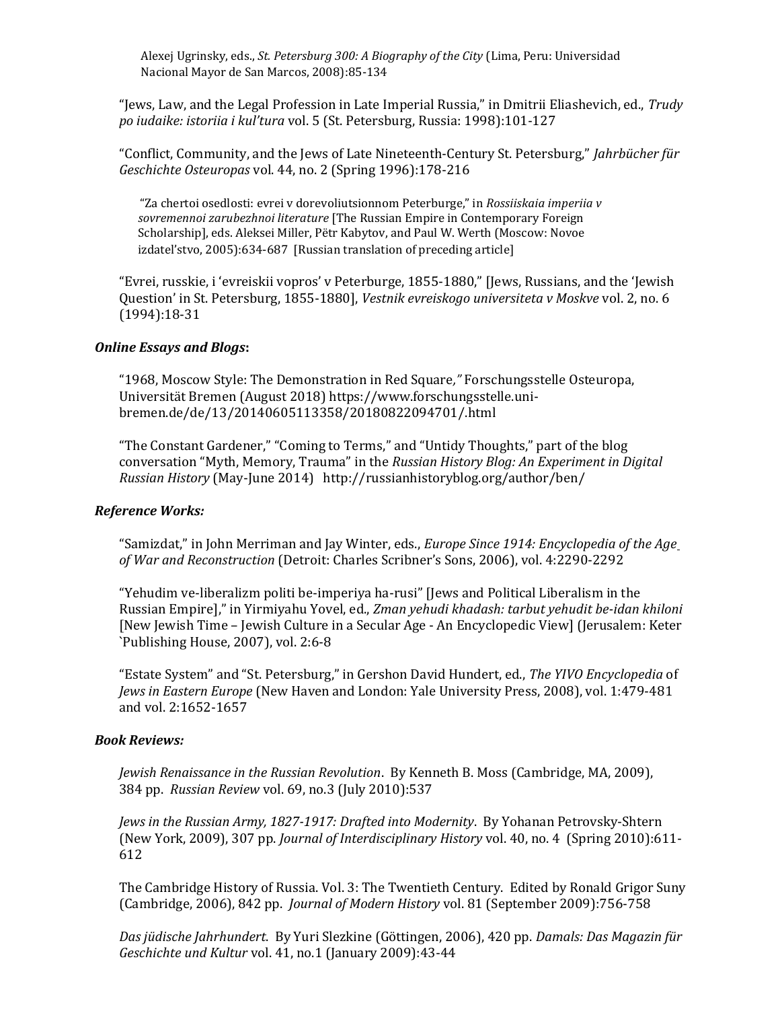Alexej Ugrinsky, eds., St. Petersburg 300: A Biography of the City (Lima, Peru: Universidad Nacional Mayor de San Marcos, 2008):85-134

"Jews, Law, and the Legal Profession in Late Imperial Russia," in Dmitrii Eliashevich, ed., Trudy po iudaike: istoriia i kul'tura vol. 5 (St. Petersburg, Russia: 1998):101-127

"Conflict, Community, and the Jews of Late Nineteenth-Century St. Petersburg," Jahrbücher für Geschichte Osteuropas vol. 44, no. 2 (Spring 1996):178-216

 "Za chertoi osedlosti: evrei v dorevoliutsionnom Peterburge," in Rossiiskaia imperiia v sovremennoi zarubezhnoi literature [The Russian Empire in Contemporary Foreign Scholarship], eds. Aleksei Miller, Pëtr Kabytov, and Paul W. Werth (Moscow: Novoe izdatel'stvo, 2005):634-687 [Russian translation of preceding article]

"Evrei, russkie, i 'evreiskii vopros' v Peterburge, 1855-1880," [Jews, Russians, and the 'Jewish Question' in St. Petersburg, 1855-1880], Vestnik evreiskogo universiteta v Moskve vol. 2, no. 6 (1994):18-31

#### Online Essays and Blogs:

"1968, Moscow Style: The Demonstration in Red Square," Forschungsstelle Osteuropa, Universität Bremen (August 2018) https://www.forschungsstelle.unibremen.de/de/13/20140605113358/20180822094701/.html

"The Constant Gardener," "Coming to Terms," and "Untidy Thoughts," part of the blog conversation "Myth, Memory, Trauma" in the Russian History Blog: An Experiment in Digital Russian History (May-June 2014) http://russianhistoryblog.org/author/ben/

### Reference Works:

"Samizdat," in John Merriman and Jay Winter, eds., *Europe Since 1914: Encyclopedia of the Age* of War and Reconstruction (Detroit: Charles Scribner's Sons, 2006), vol. 4:2290-2292

"Yehudim ve-liberalizm politi be-imperiya ha-rusi" [Jews and Political Liberalism in the Russian Empire]," in Yirmiyahu Yovel, ed., Zman yehudi khadash: tarbut yehudit be-idan khiloni [New Jewish Time – Jewish Culture in a Secular Age - An Encyclopedic View] (Jerusalem: Keter `Publishing House, 2007), vol. 2:6-8

"Estate System" and "St. Petersburg," in Gershon David Hundert, ed., The YIVO Encyclopedia of Jews in Eastern Europe (New Haven and London: Yale University Press, 2008), vol. 1:479-481 and vol. 2:1652-1657

#### Book Reviews:

Jewish Renaissance in the Russian Revolution. By Kenneth B. Moss (Cambridge, MA, 2009), 384 pp. Russian Review vol. 69, no.3 (July 2010):537

Jews in the Russian Army, 1827-1917: Drafted into Modernity. By Yohanan Petrovsky-Shtern (New York, 2009), 307 pp. Journal of Interdisciplinary History vol. 40, no. 4 (Spring 2010):611- 612

The Cambridge History of Russia. Vol. 3: The Twentieth Century. Edited by Ronald Grigor Suny (Cambridge, 2006), 842 pp. Journal of Modern History vol. 81 (September 2009):756-758

Das jüdische Jahrhundert. By Yuri Slezkine (Göttingen, 2006), 420 pp. Damals: Das Magazin für Geschichte und Kultur vol. 41, no.1 (January 2009):43-44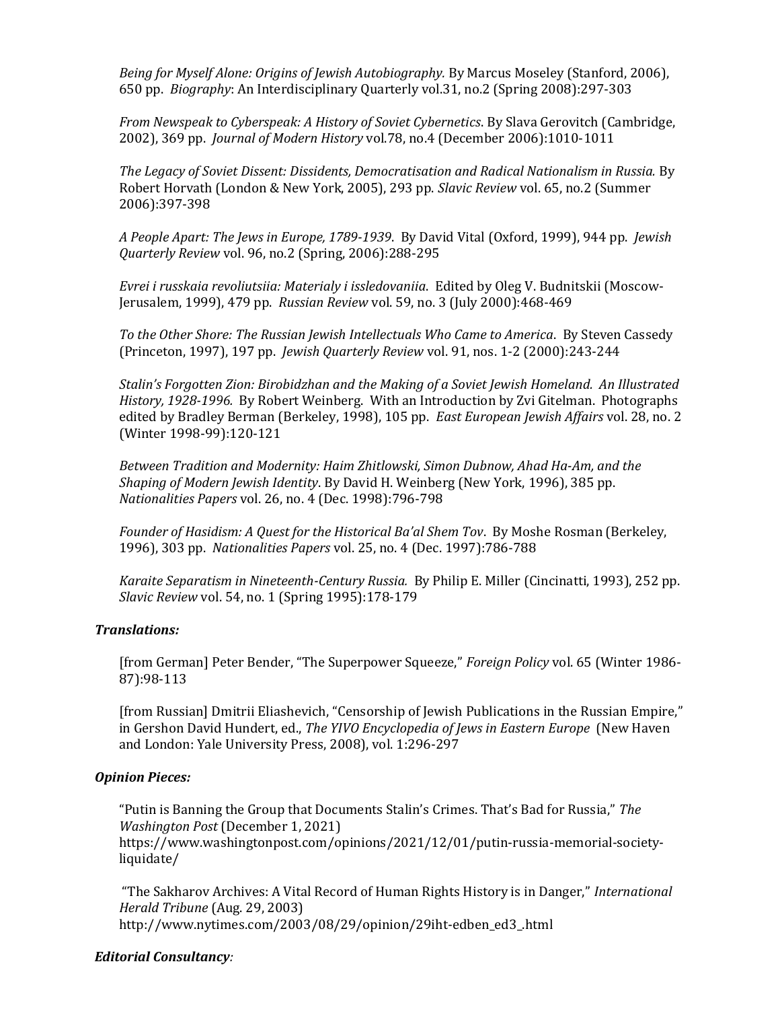Being for Myself Alone: Origins of Jewish Autobiography. By Marcus Moseley (Stanford, 2006), 650 pp. Biography: An Interdisciplinary Quarterly vol.31, no.2 (Spring 2008):297-303

From Newspeak to Cyberspeak: A History of Soviet Cybernetics. By Slava Gerovitch (Cambridge, 2002), 369 pp. Journal of Modern History vol.78, no.4 (December 2006):1010-1011

The Legacy of Soviet Dissent: Dissidents, Democratisation and Radical Nationalism in Russia. By Robert Horvath (London & New York, 2005), 293 pp. Slavic Review vol. 65, no.2 (Summer 2006):397-398

A People Apart: The Jews in Europe, 1789-1939. By David Vital (Oxford, 1999), 944 pp. Jewish Quarterly Review vol. 96, no.2 (Spring, 2006):288-295

Evrei i russkaia revoliutsiia: Materialy i issledovaniia. Edited by Oleg V. Budnitskii (Moscow-Jerusalem, 1999), 479 pp. Russian Review vol. 59, no. 3 (July 2000):468-469

To the Other Shore: The Russian Jewish Intellectuals Who Came to America. By Steven Cassedy (Princeton, 1997), 197 pp. Jewish Quarterly Review vol. 91, nos. 1-2 (2000):243-244

Stalin's Forgotten Zion: Birobidzhan and the Making of a Soviet Jewish Homeland. An Illustrated History, 1928-1996. By Robert Weinberg. With an Introduction by Zvi Gitelman. Photographs edited by Bradley Berman (Berkeley, 1998), 105 pp. East European Jewish Affairs vol. 28, no. 2 (Winter 1998-99):120-121

Between Tradition and Modernity: Haim Zhitlowski, Simon Dubnow, Ahad Ha-Am, and the Shaping of Modern Jewish Identity. By David H. Weinberg (New York, 1996), 385 pp. Nationalities Papers vol. 26, no. 4 (Dec. 1998):796-798

Founder of Hasidism: A Quest for the Historical Ba'al Shem Tov. By Moshe Rosman (Berkeley, 1996), 303 pp. Nationalities Papers vol. 25, no. 4 (Dec. 1997):786-788

Karaite Separatism in Nineteenth-Century Russia. By Philip E. Miller (Cincinatti, 1993), 252 pp. Slavic Review vol. 54, no. 1 (Spring 1995):178-179

### Translations:

[from German] Peter Bender, "The Superpower Squeeze," Foreign Policy vol. 65 (Winter 1986- 87):98-113

[from Russian] Dmitrii Eliashevich, "Censorship of Jewish Publications in the Russian Empire," in Gershon David Hundert, ed., The YIVO Encyclopedia of Jews in Eastern Europe (New Haven and London: Yale University Press, 2008), vol. 1:296-297

#### Opinion Pieces:

"Putin is Banning the Group that Documents Stalin's Crimes. That's Bad for Russia," The Washington Post (December 1, 2021)

https://www.washingtonpost.com/opinions/2021/12/01/putin-russia-memorial-societyliquidate/

 "The Sakharov Archives: A Vital Record of Human Rights History is in Danger," International Herald Tribune (Aug. 29, 2003) http://www.nytimes.com/2003/08/29/opinion/29iht-edben\_ed3\_.html

#### Editorial Consultancy: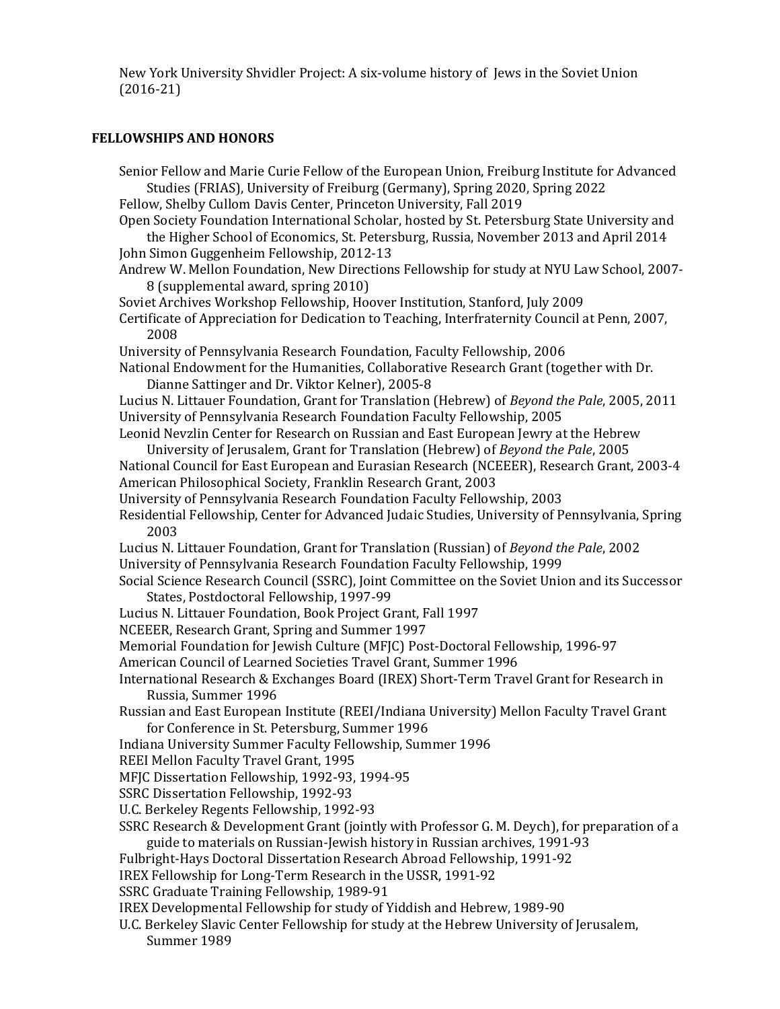New York University Shvidler Project: A six-volume history of Jews in the Soviet Union (2016-21)

# FELLOWSHIPS AND HONORS

| Senior Fellow and Marie Curie Fellow of the European Union, Freiburg Institute for Advanced                                                                         |  |
|---------------------------------------------------------------------------------------------------------------------------------------------------------------------|--|
| Studies (FRIAS), University of Freiburg (Germany), Spring 2020, Spring 2022                                                                                         |  |
| Fellow, Shelby Cullom Davis Center, Princeton University, Fall 2019<br>Open Society Foundation International Scholar, hosted by St. Petersburg State University and |  |
| the Higher School of Economics, St. Petersburg, Russia, November 2013 and April 2014                                                                                |  |
| John Simon Guggenheim Fellowship, 2012-13                                                                                                                           |  |
| Andrew W. Mellon Foundation, New Directions Fellowship for study at NYU Law School, 2007-                                                                           |  |
| 8 (supplemental award, spring 2010)                                                                                                                                 |  |
| Soviet Archives Workshop Fellowship, Hoover Institution, Stanford, July 2009                                                                                        |  |
| Certificate of Appreciation for Dedication to Teaching, Interfraternity Council at Penn, 2007,                                                                      |  |
| 2008                                                                                                                                                                |  |
| University of Pennsylvania Research Foundation, Faculty Fellowship, 2006                                                                                            |  |
| National Endowment for the Humanities, Collaborative Research Grant (together with Dr.                                                                              |  |
| Dianne Sattinger and Dr. Viktor Kelner), 2005-8                                                                                                                     |  |
| Lucius N. Littauer Foundation, Grant for Translation (Hebrew) of Beyond the Pale, 2005, 2011                                                                        |  |
| University of Pennsylvania Research Foundation Faculty Fellowship, 2005                                                                                             |  |
| Leonid Nevzlin Center for Research on Russian and East European Jewry at the Hebrew                                                                                 |  |
| University of Jerusalem, Grant for Translation (Hebrew) of Beyond the Pale, 2005                                                                                    |  |
| National Council for East European and Eurasian Research (NCEEER), Research Grant, 2003-4                                                                           |  |
| American Philosophical Society, Franklin Research Grant, 2003                                                                                                       |  |
| University of Pennsylvania Research Foundation Faculty Fellowship, 2003                                                                                             |  |
| Residential Fellowship, Center for Advanced Judaic Studies, University of Pennsylvania, Spring<br>2003                                                              |  |
| Lucius N. Littauer Foundation, Grant for Translation (Russian) of Beyond the Pale, 2002                                                                             |  |
| University of Pennsylvania Research Foundation Faculty Fellowship, 1999                                                                                             |  |
| Social Science Research Council (SSRC), Joint Committee on the Soviet Union and its Successor                                                                       |  |
| States, Postdoctoral Fellowship, 1997-99                                                                                                                            |  |
| Lucius N. Littauer Foundation, Book Project Grant, Fall 1997                                                                                                        |  |
| NCEEER, Research Grant, Spring and Summer 1997                                                                                                                      |  |
| Memorial Foundation for Jewish Culture (MFJC) Post-Doctoral Fellowship, 1996-97                                                                                     |  |
| American Council of Learned Societies Travel Grant, Summer 1996                                                                                                     |  |
| International Research & Exchanges Board (IREX) Short-Term Travel Grant for Research in                                                                             |  |
| Russia, Summer 1996                                                                                                                                                 |  |
| Russian and East European Institute (REEI/Indiana University) Mellon Faculty Travel Grant                                                                           |  |
| for Conference in St. Petersburg, Summer 1996                                                                                                                       |  |
| Indiana University Summer Faculty Fellowship, Summer 1996                                                                                                           |  |
| REEI Mellon Faculty Travel Grant, 1995<br>MFJC Dissertation Fellowship, 1992-93, 1994-95                                                                            |  |
| SSRC Dissertation Fellowship, 1992-93                                                                                                                               |  |
| U.C. Berkeley Regents Fellowship, 1992-93                                                                                                                           |  |
| SSRC Research & Development Grant (jointly with Professor G. M. Deych), for preparation of a                                                                        |  |
| guide to materials on Russian-Jewish history in Russian archives, 1991-93                                                                                           |  |
| Fulbright-Hays Doctoral Dissertation Research Abroad Fellowship, 1991-92                                                                                            |  |
| IREX Fellowship for Long-Term Research in the USSR, 1991-92                                                                                                         |  |
| SSRC Graduate Training Fellowship, 1989-91                                                                                                                          |  |
| IREX Developmental Fellowship for study of Yiddish and Hebrew, 1989-90                                                                                              |  |
| U.C. Berkeley Slavic Center Fellowship for study at the Hebrew University of Jerusalem,                                                                             |  |
| Summer 1989                                                                                                                                                         |  |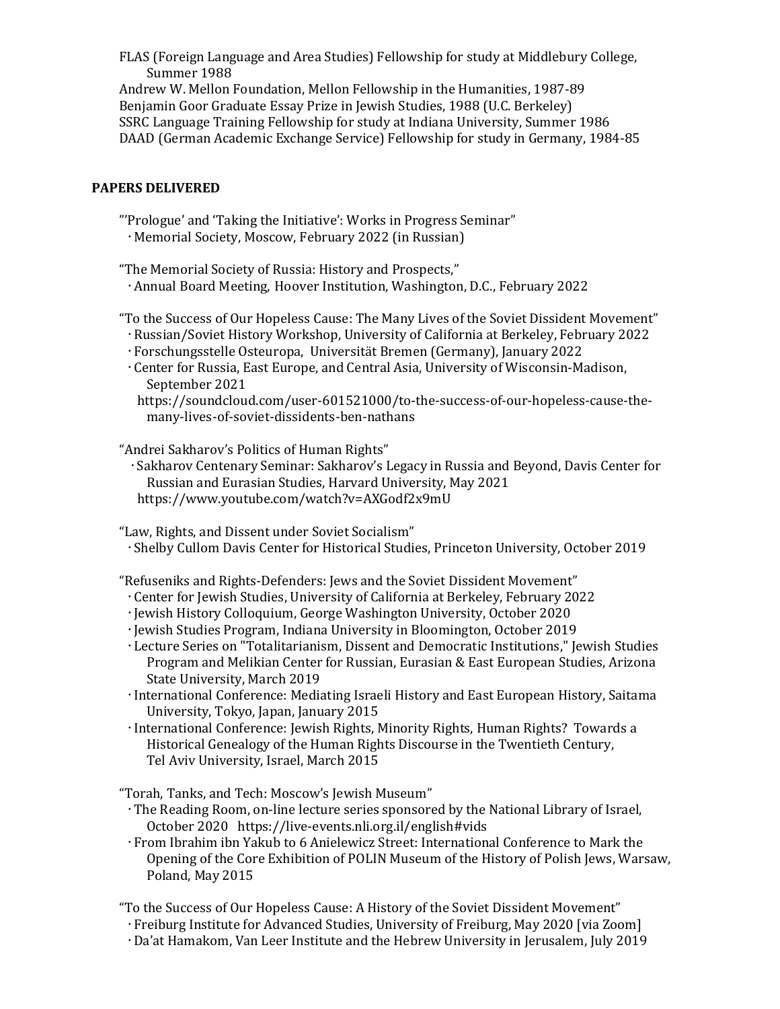FLAS (Foreign Language and Area Studies) Fellowship for study at Middlebury College, Summer 1988

Andrew W. Mellon Foundation, Mellon Fellowship in the Humanities, 1987-89 Benjamin Goor Graduate Essay Prize in Jewish Studies, 1988 (U.C. Berkeley) SSRC Language Training Fellowship for study at Indiana University, Summer 1986 DAAD (German Academic Exchange Service) Fellowship for study in Germany, 1984-85

### PAPERS DELIVERED

- "'Prologue' and 'Taking the Initiative': Works in Progress Seminar" Memorial Society, Moscow, February 2022 (in Russian)
- "The Memorial Society of Russia: History and Prospects," Annual Board Meeting, Hoover Institution, Washington, D.C., February 2022
- "To the Success of Our Hopeless Cause: The Many Lives of the Soviet Dissident Movement" Russian/Soviet History Workshop, University of California at Berkeley, February 2022
	- Forschungsstelle Osteuropa, Universität Bremen (Germany), January 2022
	- Center for Russia, East Europe, and Central Asia, University of Wisconsin-Madison, September 2021
	- https://soundcloud.com/user-601521000/to-the-success-of-our-hopeless-cause-themany-lives-of-soviet-dissidents-ben-nathans

"Andrei Sakharov's Politics of Human Rights"

Sakharov Centenary Seminar: Sakharov's Legacy in Russia and Beyond, Davis Center for Russian and Eurasian Studies, Harvard University, May 2021 https://www.youtube.com/watch?v=AXGodf2x9mU

"Law, Rights, and Dissent under Soviet Socialism" Shelby Cullom Davis Center for Historical Studies, Princeton University, October 2019

"Refuseniks and Rights-Defenders: Jews and the Soviet Dissident Movement"

- Center for Jewish Studies, University of California at Berkeley, February 2022
- Jewish History Colloquium, George Washington University, October 2020
- Jewish Studies Program, Indiana University in Bloomington, October 2019
- Lecture Series on "Totalitarianism, Dissent and Democratic Institutions," Jewish Studies Program and Melikian Center for Russian, Eurasian & East European Studies, Arizona State University, March 2019
- International Conference: Mediating Israeli History and East European History, Saitama University, Tokyo, Japan, January 2015
- International Conference: Jewish Rights, Minority Rights, Human Rights? Towards a Historical Genealogy of the Human Rights Discourse in the Twentieth Century, Tel Aviv University, Israel, March 2015

"Torah, Tanks, and Tech: Moscow's Jewish Museum"

- The Reading Room, on-line lecture series sponsored by the National Library of Israel, October 2020 https://live-events.nli.org.il/english#vids
- From Ibrahim ibn Yakub to 6 Anielewicz Street: International Conference to Mark the Opening of the Core Exhibition of POLIN Museum of the History of Polish Jews, Warsaw, Poland, May 2015

"To the Success of Our Hopeless Cause: A History of the Soviet Dissident Movement" Freiburg Institute for Advanced Studies, University of Freiburg, May 2020 [via Zoom] Da'at Hamakom, Van Leer Institute and the Hebrew University in Jerusalem, July 2019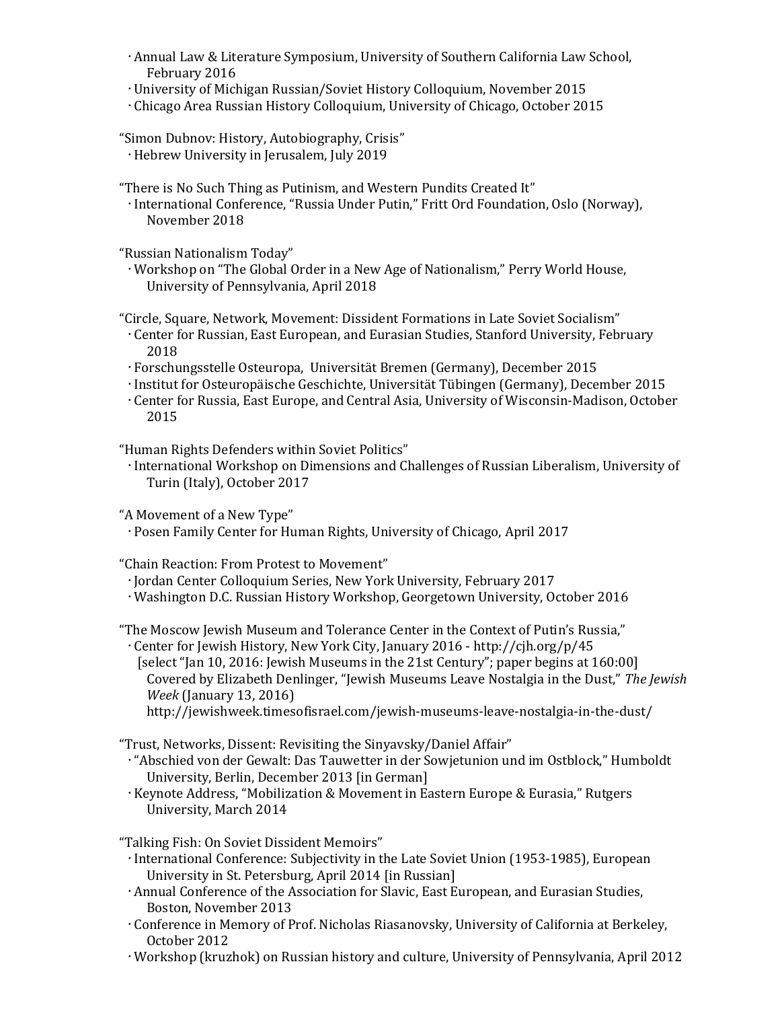- Annual Law & Literature Symposium, University of Southern California Law School, February 2016
- University of Michigan Russian/Soviet History Colloquium, November 2015
- Chicago Area Russian History Colloquium, University of Chicago, October 2015

"Simon Dubnov: History, Autobiography, Crisis" Hebrew University in Jerusalem, July 2019

"There is No Such Thing as Putinism, and Western Pundits Created It"

 International Conference, "Russia Under Putin," Fritt Ord Foundation, Oslo (Norway), November 2018

"Russian Nationalism Today"

 Workshop on "The Global Order in a New Age of Nationalism," Perry World House, University of Pennsylvania, April 2018

"Circle, Square, Network, Movement: Dissident Formations in Late Soviet Socialism" Center for Russian, East European, and Eurasian Studies, Stanford University, February 2018

Forschungsstelle Osteuropa, Universität Bremen (Germany), December 2015

- Institut for Osteuropäische Geschichte, Universität Tübingen (Germany), December 2015
- Center for Russia, East Europe, and Central Asia, University of Wisconsin-Madison, October 2015

"Human Rights Defenders within Soviet Politics"

 International Workshop on Dimensions and Challenges of Russian Liberalism, University of Turin (Italy), October 2017

"A Movement of a New Type"

Posen Family Center for Human Rights, University of Chicago, April 2017

"Chain Reaction: From Protest to Movement"

- Jordan Center Colloquium Series, New York University, February 2017
- Washington D.C. Russian History Workshop, Georgetown University, October 2016

"The Moscow Jewish Museum and Tolerance Center in the Context of Putin's Russia,"

 Center for Jewish History, New York City, January 2016 - http://cjh.org/p/45 [select "Jan 10, 2016: Jewish Museums in the 21st Century"; paper begins at 160:00] Covered by Elizabeth Denlinger, "Jewish Museums Leave Nostalgia in the Dust," The Jewish Week (January 13, 2016)

http://jewishweek.timesofisrael.com/jewish-museums-leave-nostalgia-in-the-dust/

"Trust, Networks, Dissent: Revisiting the Sinyavsky/Daniel Affair"

 "Abschied von der Gewalt: Das Tauwetter in der Sowjetunion und im Ostblock," Humboldt University, Berlin, December 2013 [in German]

Keynote Address, "Mobilization & Movement in Eastern Europe & Eurasia," Rutgers University, March 2014

"Talking Fish: On Soviet Dissident Memoirs"

- International Conference: Subjectivity in the Late Soviet Union (1953-1985), European University in St. Petersburg, April 2014 [in Russian]
- Annual Conference of the Association for Slavic, East European, and Eurasian Studies, Boston, November 2013
- Conference in Memory of Prof. Nicholas Riasanovsky, University of California at Berkeley, October 2012
- Workshop (kruzhok) on Russian history and culture, University of Pennsylvania, April 2012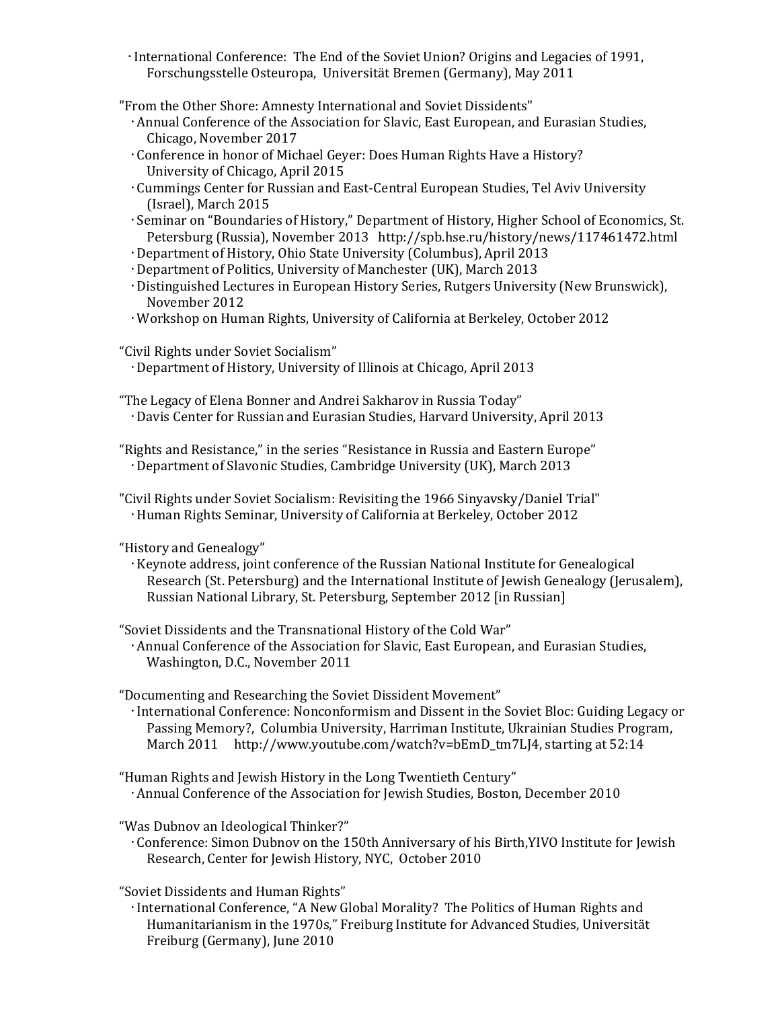- International Conference: The End of the Soviet Union? Origins and Legacies of 1991, Forschungsstelle Osteuropa, Universität Bremen (Germany), May 2011
- "From the Other Shore: Amnesty International and Soviet Dissidents"
	- Annual Conference of the Association for Slavic, East European, and Eurasian Studies, Chicago, November 2017
	- Conference in honor of Michael Geyer: Does Human Rights Have a History? University of Chicago, April 2015
	- Cummings Center for Russian and East-Central European Studies, Tel Aviv University (Israel), March 2015
	- Seminar on "Boundaries of History," Department of History, Higher School of Economics, St. Petersburg (Russia), November 2013 http://spb.hse.ru/history/news/117461472.html
	- Department of History, Ohio State University (Columbus), April 2013
	- Department of Politics, University of Manchester (UK), March 2013
	- Distinguished Lectures in European History Series, Rutgers University (New Brunswick), November 2012
	- Workshop on Human Rights, University of California at Berkeley, October 2012
- "Civil Rights under Soviet Socialism"
	- Department of History, University of Illinois at Chicago, April 2013
- "The Legacy of Elena Bonner and Andrei Sakharov in Russia Today" Davis Center for Russian and Eurasian Studies, Harvard University, April 2013
- "Rights and Resistance," in the series "Resistance in Russia and Eastern Europe" Department of Slavonic Studies, Cambridge University (UK), March 2013

"Civil Rights under Soviet Socialism: Revisiting the 1966 Sinyavsky/Daniel Trial" Human Rights Seminar, University of California at Berkeley, October 2012

"History and Genealogy"

- Keynote address, joint conference of the Russian National Institute for Genealogical Research (St. Petersburg) and the International Institute of Jewish Genealogy (Jerusalem), Russian National Library, St. Petersburg, September 2012 [in Russian]
- "Soviet Dissidents and the Transnational History of the Cold War"

 Annual Conference of the Association for Slavic, East European, and Eurasian Studies, Washington, D.C., November 2011

"Documenting and Researching the Soviet Dissident Movement"

- International Conference: Nonconformism and Dissent in the Soviet Bloc: Guiding Legacy or Passing Memory?, Columbia University, Harriman Institute, Ukrainian Studies Program, March 2011 http://www.youtube.com/watch?v=bEmD\_tm7LJ4, starting at 52:14
- "Human Rights and Jewish History in the Long Twentieth Century" Annual Conference of the Association for Jewish Studies, Boston, December 2010

"Was Dubnov an Ideological Thinker?"

 Conference: Simon Dubnov on the 150th Anniversary of his Birth,YIVO Institute for Jewish Research, Center for Jewish History, NYC, October 2010

"Soviet Dissidents and Human Rights"

 International Conference, "A New Global Morality? The Politics of Human Rights and Humanitarianism in the 1970s," Freiburg Institute for Advanced Studies, Universität Freiburg (Germany), June 2010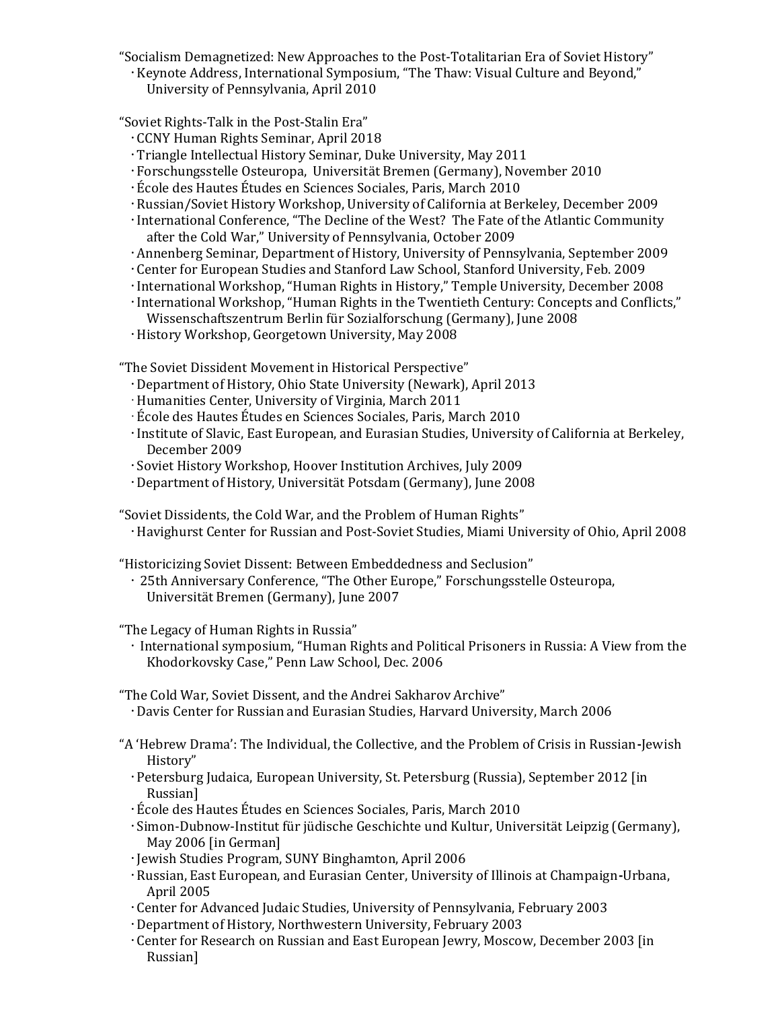"Socialism Demagnetized: New Approaches to the Post-Totalitarian Era of Soviet History" Keynote Address, International Symposium, "The Thaw: Visual Culture and Beyond," University of Pennsylvania, April 2010

"Soviet Rights-Talk in the Post-Stalin Era"

- CCNY Human Rights Seminar, April 2018
- Triangle Intellectual History Seminar, Duke University, May 2011
- Forschungsstelle Osteuropa, Universität Bremen (Germany), November 2010
- École des Hautes Études en Sciences Sociales, Paris, March 2010
- Russian/Soviet History Workshop, University of California at Berkeley, December 2009
- International Conference, "The Decline of the West? The Fate of the Atlantic Community after the Cold War," University of Pennsylvania, October 2009
- Annenberg Seminar, Department of History, University of Pennsylvania, September 2009
- Center for European Studies and Stanford Law School, Stanford University, Feb. 2009
- International Workshop, "Human Rights in History," Temple University, December 2008
- International Workshop, "Human Rights in the Twentieth Century: Concepts and Conflicts," Wissenschaftszentrum Berlin für Sozialforschung (Germany), June 2008
- History Workshop, Georgetown University, May 2008

"The Soviet Dissident Movement in Historical Perspective"

- Department of History, Ohio State University (Newark), April 2013
- Humanities Center, University of Virginia, March 2011
- École des Hautes Études en Sciences Sociales, Paris, March 2010
- Institute of Slavic, East European, and Eurasian Studies, University of California at Berkeley, December 2009
- Soviet History Workshop, Hoover Institution Archives, July 2009
- Department of History, Universität Potsdam (Germany), June 2008

"Soviet Dissidents, the Cold War, and the Problem of Human Rights" Havighurst Center for Russian and Post-Soviet Studies, Miami University of Ohio, April 2008

"Historicizing Soviet Dissent: Between Embeddedness and Seclusion"

 25th Anniversary Conference, "The Other Europe," Forschungsstelle Osteuropa, Universität Bremen (Germany), June 2007

"The Legacy of Human Rights in Russia"

 International symposium, "Human Rights and Political Prisoners in Russia: A View from the Khodorkovsky Case," Penn Law School, Dec. 2006

"The Cold War, Soviet Dissent, and the Andrei Sakharov Archive"

- Davis Center for Russian and Eurasian Studies, Harvard University, March 2006
- "A 'Hebrew Drama': The Individual, the Collective, and the Problem of Crisis in Russian-Jewish History"
	- Petersburg Judaica, European University, St. Petersburg (Russia), September 2012 [in Russian]
	- École des Hautes Études en Sciences Sociales, Paris, March 2010
	- Simon-Dubnow-Institut für jüdische Geschichte und Kultur, Universität Leipzig (Germany), May 2006 [in German]
	- Jewish Studies Program, SUNY Binghamton, April 2006
	- Russian, East European, and Eurasian Center, University of Illinois at Champaign-Urbana, April 2005
	- Center for Advanced Judaic Studies, University of Pennsylvania, February 2003
	- Department of History, Northwestern University, February 2003
	- Center for Research on Russian and East European Jewry, Moscow, December 2003 [in Russian]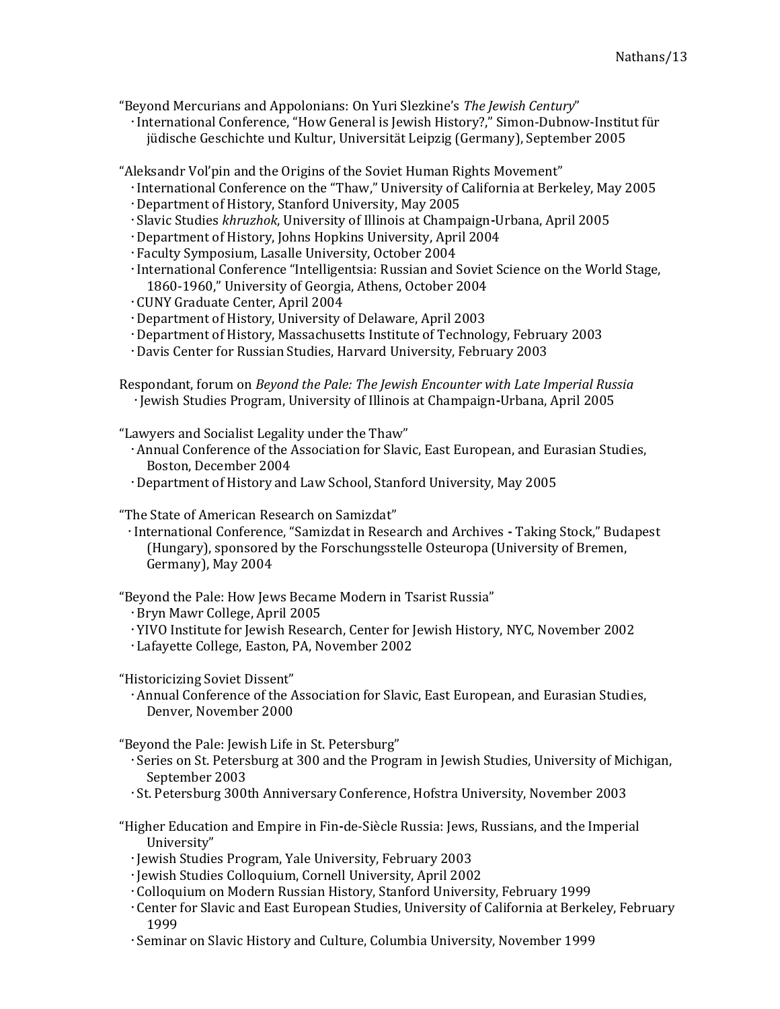"Beyond Mercurians and Appolonians: On Yuri Slezkine's The Jewish Century"

 International Conference, "How General is Jewish History?," Simon-Dubnow-Institut für jüdische Geschichte und Kultur, Universität Leipzig (Germany), September 2005

"Aleksandr Vol'pin and the Origins of the Soviet Human Rights Movement"

- International Conference on the "Thaw," University of California at Berkeley, May 2005
- Department of History, Stanford University, May 2005
- Slavic Studies khruzhok, University of Illinois at Champaign-Urbana, April 2005
- Department of History, Johns Hopkins University, April 2004
- Faculty Symposium, Lasalle University, October 2004
- International Conference "Intelligentsia: Russian and Soviet Science on the World Stage, 1860-1960," University of Georgia, Athens, October 2004
- CUNY Graduate Center, April 2004
- Department of History, University of Delaware, April 2003
- Department of History, Massachusetts Institute of Technology, February 2003
- Davis Center for Russian Studies, Harvard University, February 2003

Respondant, forum on Beyond the Pale: The Jewish Encounter with Late Imperial Russia Jewish Studies Program, University of Illinois at Champaign-Urbana, April 2005

"Lawyers and Socialist Legality under the Thaw"

- Annual Conference of the Association for Slavic, East European, and Eurasian Studies, Boston, December 2004
- Department of History and Law School, Stanford University, May 2005

"The State of American Research on Samizdat"

 International Conference, "Samizdat in Research and Archives - Taking Stock," Budapest (Hungary), sponsored by the Forschungsstelle Osteuropa (University of Bremen, Germany), May 2004

"Beyond the Pale: How Jews Became Modern in Tsarist Russia"

Bryn Mawr College, April 2005

- YIVO Institute for Jewish Research, Center for Jewish History, NYC, November 2002
- Lafayette College, Easton, PA, November 2002

"Historicizing Soviet Dissent"

 Annual Conference of the Association for Slavic, East European, and Eurasian Studies, Denver, November 2000

"Beyond the Pale: Jewish Life in St. Petersburg"

- Series on St. Petersburg at 300 and the Program in Jewish Studies, University of Michigan, September 2003
- St. Petersburg 300th Anniversary Conference, Hofstra University, November 2003
- "Higher Education and Empire in Fin-de-Siècle Russia: Jews, Russians, and the Imperial University"
	- Jewish Studies Program, Yale University, February 2003
	- Jewish Studies Colloquium, Cornell University, April 2002
	- Colloquium on Modern Russian History, Stanford University, February 1999
	- Center for Slavic and East European Studies, University of California at Berkeley, February 1999
	- Seminar on Slavic History and Culture, Columbia University, November 1999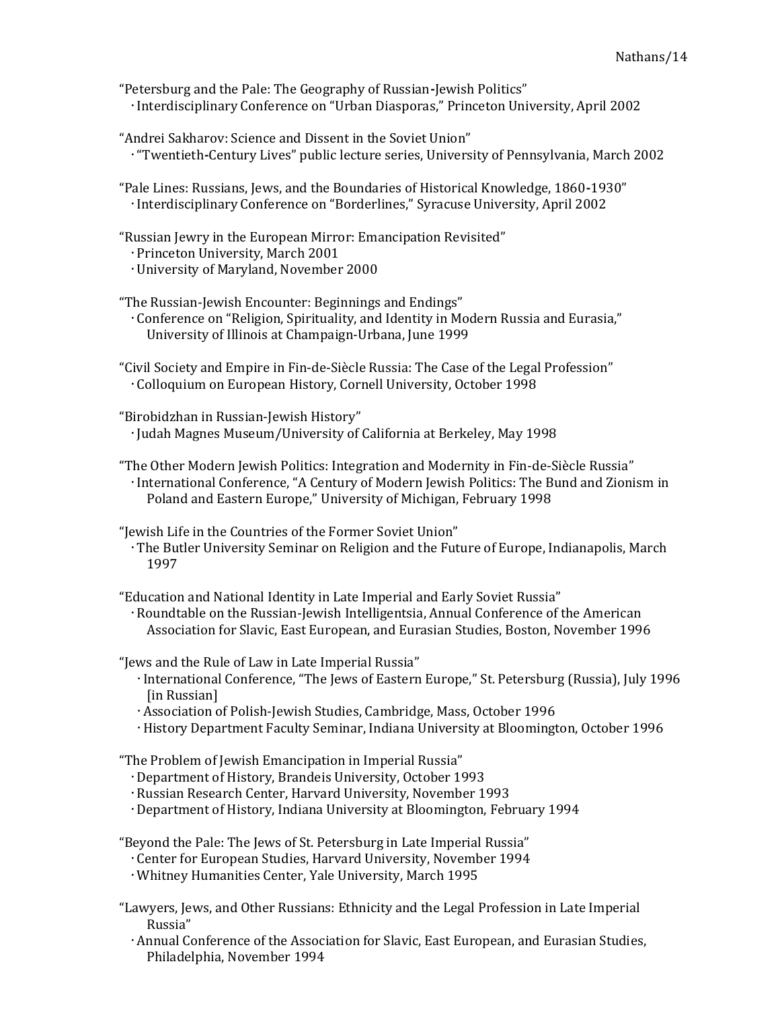- "Petersburg and the Pale: The Geography of Russian-Jewish Politics" Interdisciplinary Conference on "Urban Diasporas," Princeton University, April 2002
- "Andrei Sakharov: Science and Dissent in the Soviet Union" "Twentieth-Century Lives" public lecture series, University of Pennsylvania, March 2002
- "Pale Lines: Russians, Jews, and the Boundaries of Historical Knowledge, 1860-1930" Interdisciplinary Conference on "Borderlines," Syracuse University, April 2002
- "Russian Jewry in the European Mirror: Emancipation Revisited"
	- Princeton University, March 2001
	- University of Maryland, November 2000

"The Russian-Jewish Encounter: Beginnings and Endings" Conference on "Religion, Spirituality, and Identity in Modern Russia and Eurasia," University of Illinois at Champaign-Urbana, June 1999

- "Civil Society and Empire in Fin-de-Siècle Russia: The Case of the Legal Profession" Colloquium on European History, Cornell University, October 1998
- "Birobidzhan in Russian-Jewish History" Judah Magnes Museum/University of California at Berkeley, May 1998
- "The Other Modern Jewish Politics: Integration and Modernity in Fin-de-Siècle Russia" International Conference, "A Century of Modern Jewish Politics: The Bund and Zionism in Poland and Eastern Europe," University of Michigan, February 1998

"Jewish Life in the Countries of the Former Soviet Union"

 The Butler University Seminar on Religion and the Future of Europe, Indianapolis, March 1997

"Education and National Identity in Late Imperial and Early Soviet Russia"

Roundtable on the Russian-Jewish Intelligentsia, Annual Conference of the American Association for Slavic, East European, and Eurasian Studies, Boston, November 1996

"Jews and the Rule of Law in Late Imperial Russia"

- International Conference, "The Jews of Eastern Europe," St. Petersburg (Russia), July 1996 [in Russian]
- Association of Polish-Jewish Studies, Cambridge, Mass, October 1996
- History Department Faculty Seminar, Indiana University at Bloomington, October 1996

"The Problem of Jewish Emancipation in Imperial Russia"

Department of History, Brandeis University, October 1993

- Russian Research Center, Harvard University, November 1993
- Department of History, Indiana University at Bloomington, February 1994

"Beyond the Pale: The Jews of St. Petersburg in Late Imperial Russia"

- Center for European Studies, Harvard University, November 1994
- Whitney Humanities Center, Yale University, March 1995
- "Lawyers, Jews, and Other Russians: Ethnicity and the Legal Profession in Late Imperial Russia"
	- Annual Conference of the Association for Slavic, East European, and Eurasian Studies, Philadelphia, November 1994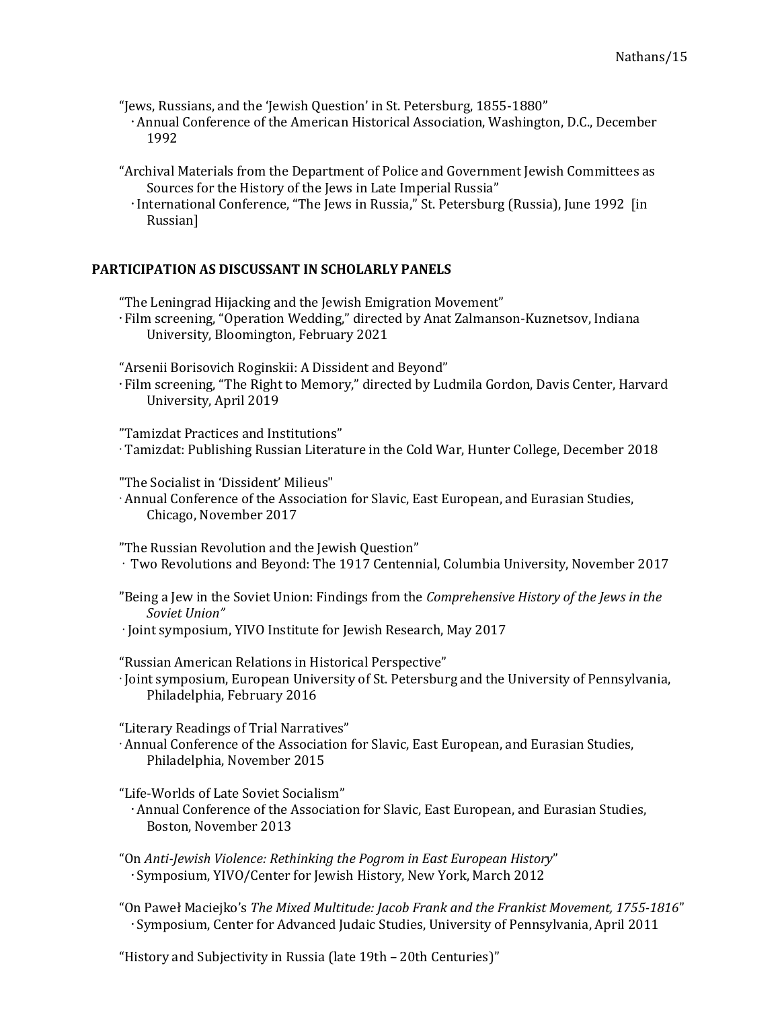"Jews, Russians, and the 'Jewish Question' in St. Petersburg, 1855-1880"

- Annual Conference of the American Historical Association, Washington, D.C., December 1992
- "Archival Materials from the Department of Police and Government Jewish Committees as Sources for the History of the Jews in Late Imperial Russia"
	- International Conference, "The Jews in Russia," St. Petersburg (Russia), June 1992 [in] Russian]

# PARTICIPATION AS DISCUSSANT IN SCHOLARLY PANELS

"The Leningrad Hijacking and the Jewish Emigration Movement"

 Film screening, "Operation Wedding," directed by Anat Zalmanson-Kuznetsov, Indiana University, Bloomington, February 2021

"Arsenii Borisovich Roginskii: A Dissident and Beyond"

 Film screening, "The Right to Memory," directed by Ludmila Gordon, Davis Center, Harvard University, April 2019

"Tamizdat Practices and Institutions"

Tamizdat: Publishing Russian Literature in the Cold War, Hunter College, December 2018

"The Socialist in 'Dissident' Milieus"

Annual Conference of the Association for Slavic, East European, and Eurasian Studies, Chicago, November 2017

"The Russian Revolution and the Jewish Question"

- Two Revolutions and Beyond: The 1917 Centennial, Columbia University, November 2017
- "Being a Jew in the Soviet Union: Findings from the *Comprehensive History of the Jews in the* Soviet Union"
- Joint symposium, YIVO Institute for Jewish Research, May 2017

"Russian American Relations in Historical Perspective"

Ioint symposium, European University of St. Petersburg and the University of Pennsylvania, Philadelphia, February 2016

"Literary Readings of Trial Narratives"

Annual Conference of the Association for Slavic, East European, and Eurasian Studies, Philadelphia, November 2015

"Life-Worlds of Late Soviet Socialism"

- Annual Conference of the Association for Slavic, East European, and Eurasian Studies, Boston, November 2013
- "On Anti-Jewish Violence: Rethinking the Pogrom in East European History" Symposium, YIVO/Center for Jewish History, New York, March 2012
- "On Paweł Maciejko's The Mixed Multitude: Jacob Frank and the Frankist Movement, 1755-1816" Symposium, Center for Advanced Judaic Studies, University of Pennsylvania, April 2011

"History and Subjectivity in Russia (late 19th – 20th Centuries)"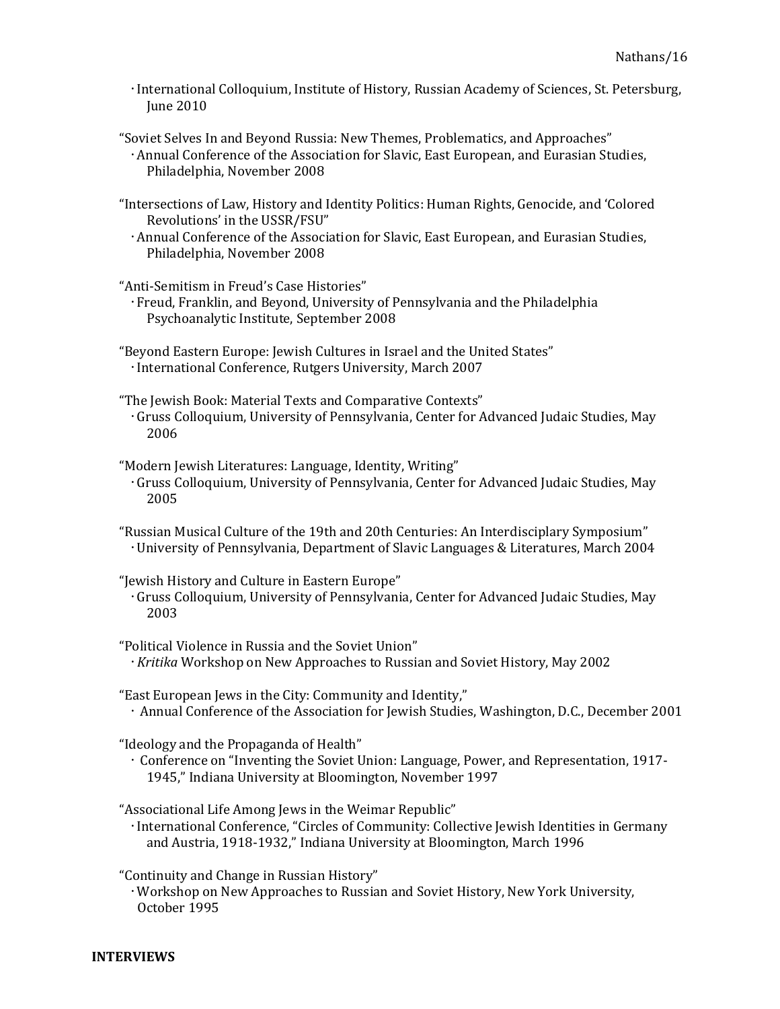- International Colloquium, Institute of History, Russian Academy of Sciences, St. Petersburg, June 2010
- "Soviet Selves In and Beyond Russia: New Themes, Problematics, and Approaches" Annual Conference of the Association for Slavic, East European, and Eurasian Studies, Philadelphia, November 2008
- "Intersections of Law, History and Identity Politics: Human Rights, Genocide, and 'Colored Revolutions' in the USSR/FSU"
	- Annual Conference of the Association for Slavic, East European, and Eurasian Studies, Philadelphia, November 2008

"Anti-Semitism in Freud's Case Histories"

 Freud, Franklin, and Beyond, University of Pennsylvania and the Philadelphia Psychoanalytic Institute, September 2008

"Beyond Eastern Europe: Jewish Cultures in Israel and the United States" International Conference, Rutgers University, March 2007

- "The Jewish Book: Material Texts and Comparative Contexts" Gruss Colloquium, University of Pennsylvania, Center for Advanced Judaic Studies, May 2006
- "Modern Jewish Literatures: Language, Identity, Writing" Gruss Colloquium, University of Pennsylvania, Center for Advanced Judaic Studies, May 2005
- "Russian Musical Culture of the 19th and 20th Centuries: An Interdisciplary Symposium" University of Pennsylvania, Department of Slavic Languages & Literatures, March 2004
- "Jewish History and Culture in Eastern Europe"
- Gruss Colloquium, University of Pennsylvania, Center for Advanced Judaic Studies, May 2003
- "Political Violence in Russia and the Soviet Union"  $\cdot$  Kritika Workshop on New Approaches to Russian and Soviet History, May 2002
- "East European Jews in the City: Community and Identity," Annual Conference of the Association for Jewish Studies, Washington, D.C., December 2001

"Ideology and the Propaganda of Health"

 Conference on "Inventing the Soviet Union: Language, Power, and Representation, 1917- 1945," Indiana University at Bloomington, November 1997

"Associational Life Among Jews in the Weimar Republic"

 International Conference, "Circles of Community: Collective Jewish Identities in Germany and Austria, 1918-1932," Indiana University at Bloomington, March 1996

"Continuity and Change in Russian History"

 Workshop on New Approaches to Russian and Soviet History, New York University, October 1995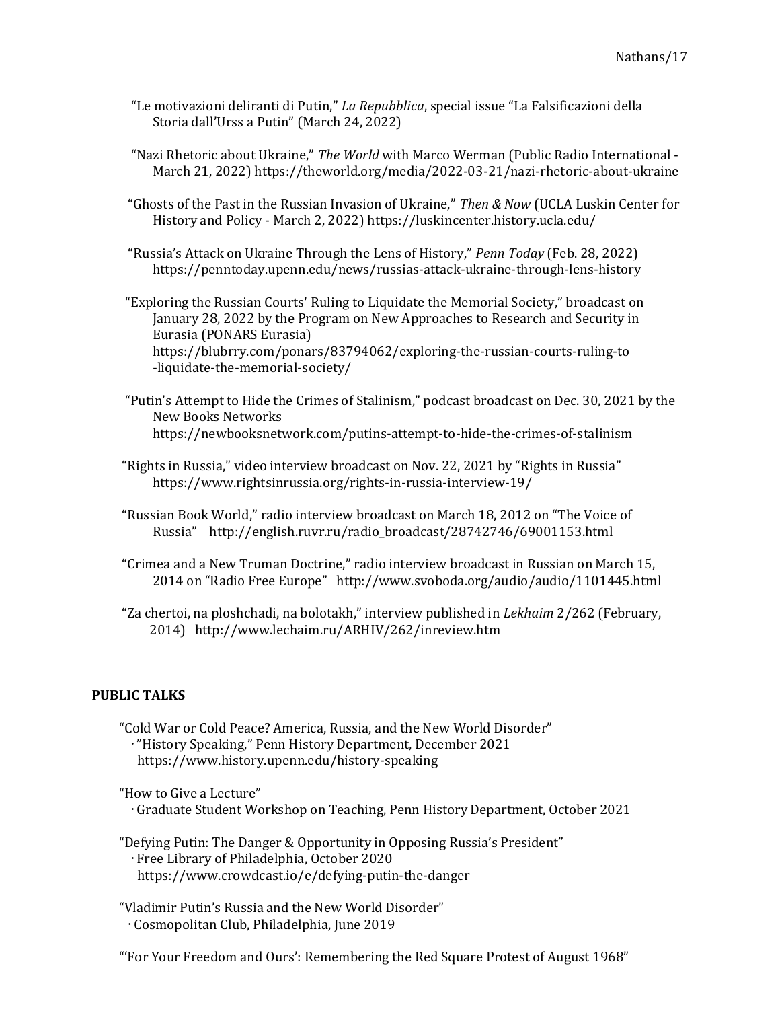- "Le motivazioni deliranti di Putin," La Repubblica, special issue "La Falsificazioni della Storia dall'Urss a Putin" (March 24, 2022)
- "Nazi Rhetoric about Ukraine," The World with Marco Werman (Public Radio International March 21, 2022) https://theworld.org/media/2022-03-21/nazi-rhetoric-about-ukraine
- "Ghosts of the Past in the Russian Invasion of Ukraine," Then & Now (UCLA Luskin Center for History and Policy - March 2, 2022) https://luskincenter.history.ucla.edu/
- "Russia's Attack on Ukraine Through the Lens of History," Penn Today (Feb. 28, 2022) https://penntoday.upenn.edu/news/russias-attack-ukraine-through-lens-history

 "Exploring the Russian Courts' Ruling to Liquidate the Memorial Society," broadcast on January 28, 2022 by the Program on New Approaches to Research and Security in Eurasia (PONARS Eurasia) https://blubrry.com/ponars/83794062/exploring-the-russian-courts-ruling-to -liquidate-the-memorial-society/

- "Putin's Attempt to Hide the Crimes of Stalinism," podcast broadcast on Dec. 30, 2021 by the New Books Networks https://newbooksnetwork.com/putins-attempt-to-hide-the-crimes-of-stalinism
- "Rights in Russia," video interview broadcast on Nov. 22, 2021 by "Rights in Russia" https://www.rightsinrussia.org/rights-in-russia-interview-19/
- "Russian Book World," radio interview broadcast on March 18, 2012 on "The Voice of Russia" http://english.ruvr.ru/radio\_broadcast/28742746/69001153.html
- "Crimea and a New Truman Doctrine," radio interview broadcast in Russian on March 15, 2014 on "Radio Free Europe" http://www.svoboda.org/audio/audio/1101445.html
- "Za chertoi, na ploshchadi, na bolotakh," interview published in Lekhaim 2/262 (February, 2014) http://www.lechaim.ru/ARHIV/262/inreview.htm

# PUBLIC TALKS

"Cold War or Cold Peace? America, Russia, and the New World Disorder" "History Speaking," Penn History Department, December 2021 https://www.history.upenn.edu/history-speaking

"How to Give a Lecture" Graduate Student Workshop on Teaching, Penn History Department, October 2021

- "Defying Putin: The Danger & Opportunity in Opposing Russia's President" Free Library of Philadelphia, October 2020 https://www.crowdcast.io/e/defying-putin-the-danger
- "Vladimir Putin's Russia and the New World Disorder" Cosmopolitan Club, Philadelphia, June 2019

"'For Your Freedom and Ours': Remembering the Red Square Protest of August 1968"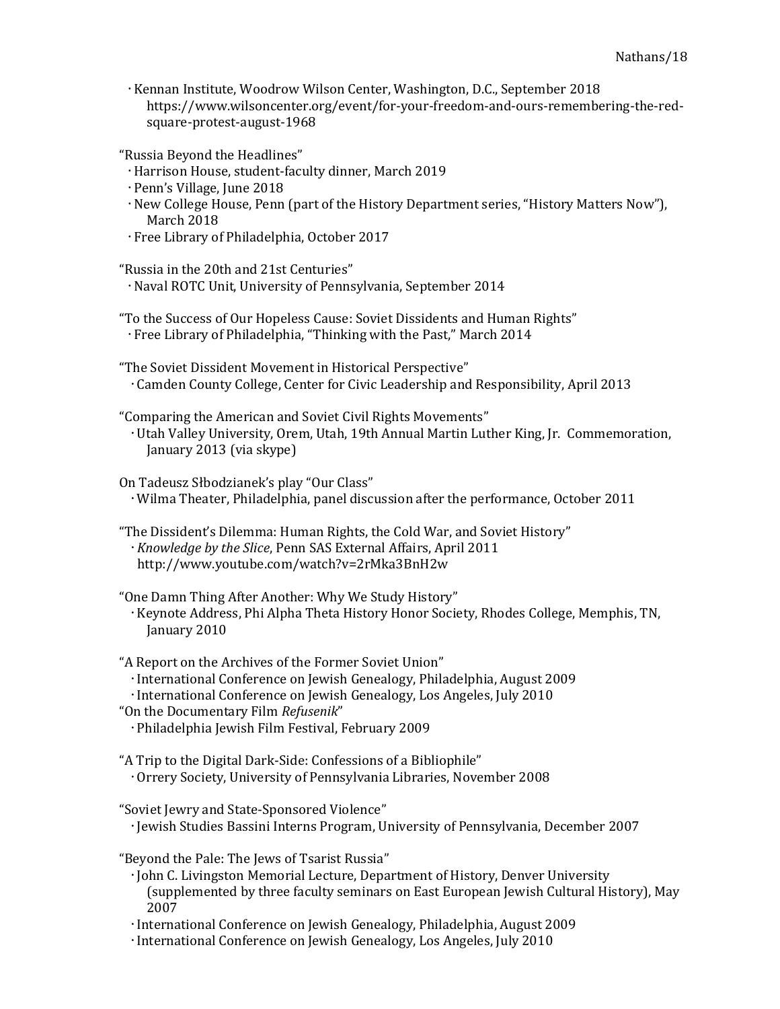Kennan Institute, Woodrow Wilson Center, Washington, D.C., September 2018 https://www.wilsoncenter.org/event/for-your-freedom-and-ours-remembering-the-redsquare-protest-august-1968

"Russia Beyond the Headlines"

- Harrison House, student-faculty dinner, March 2019
- Penn's Village, June 2018
- · New College House, Penn (part of the History Department series, "History Matters Now"), March 2018
- Free Library of Philadelphia, October 2017
- "Russia in the 20th and 21st Centuries" Naval ROTC Unit, University of Pennsylvania, September 2014
- "To the Success of Our Hopeless Cause: Soviet Dissidents and Human Rights" Free Library of Philadelphia, "Thinking with the Past," March 2014

"The Soviet Dissident Movement in Historical Perspective" Camden County College, Center for Civic Leadership and Responsibility, April 2013

"Comparing the American and Soviet Civil Rights Movements"

 Utah Valley University, Orem, Utah, 19th Annual Martin Luther King, Jr. Commemoration, January 2013 (via skype)

On Tadeusz Słbodzianek's play "Our Class" Wilma Theater, Philadelphia, panel discussion after the performance, October 2011

"The Dissident's Dilemma: Human Rights, the Cold War, and Soviet History" Knowledge by the Slice, Penn SAS External Affairs, April 2011 http://www.youtube.com/watch?v=2rMka3BnH2w

"One Damn Thing After Another: Why We Study History" Keynote Address, Phi Alpha Theta History Honor Society, Rhodes College, Memphis, TN, January 2010

- "A Report on the Archives of the Former Soviet Union"
- International Conference on Jewish Genealogy, Philadelphia, August 2009
- International Conference on Jewish Genealogy, Los Angeles, July 2010
- "On the Documentary Film Refusenik" Philadelphia Jewish Film Festival, February 2009
- "A Trip to the Digital Dark-Side: Confessions of a Bibliophile" Orrery Society, University of Pennsylvania Libraries, November 2008

"Soviet Jewry and State-Sponsored Violence" Jewish Studies Bassini Interns Program, University of Pennsylvania, December 2007

"Beyond the Pale: The Jews of Tsarist Russia"

- John C. Livingston Memorial Lecture, Department of History, Denver University (supplemented by three faculty seminars on East European Jewish Cultural History), May 2007
- International Conference on Jewish Genealogy, Philadelphia, August 2009
- International Conference on Jewish Genealogy, Los Angeles, July 2010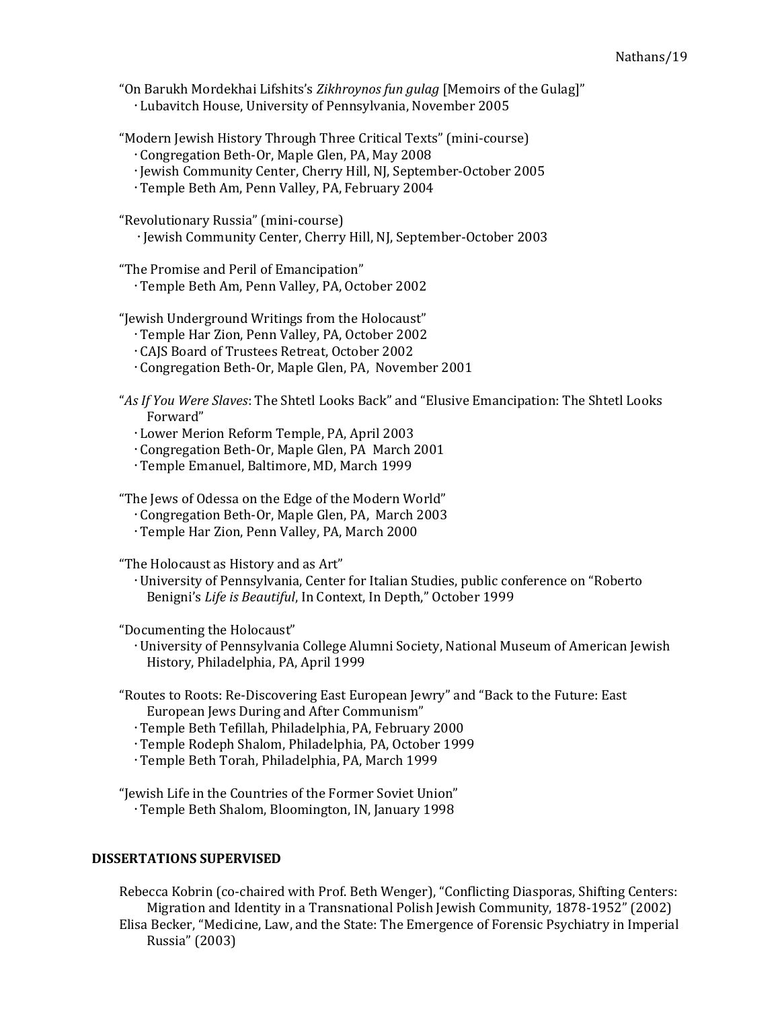"On Barukh Mordekhai Lifshits's Zikhroynos fun gulag [Memoirs of the Gulag]" Lubavitch House, University of Pennsylvania, November 2005

"Modern Jewish History Through Three Critical Texts" (mini-course)

- Congregation Beth-Or, Maple Glen, PA, May 2008
- Jewish Community Center, Cherry Hill, NJ, September-October 2005
- Temple Beth Am, Penn Valley, PA, February 2004

"Revolutionary Russia" (mini-course) Jewish Community Center, Cherry Hill, NJ, September-October 2003

"The Promise and Peril of Emancipation"

Temple Beth Am, Penn Valley, PA, October 2002

"Jewish Underground Writings from the Holocaust"

- Temple Har Zion, Penn Valley, PA, October 2002
- CAJS Board of Trustees Retreat, October 2002
- Congregation Beth-Or, Maple Glen, PA, November 2001
- "As If You Were Slaves: The Shtetl Looks Back" and "Elusive Emancipation: The Shtetl Looks Forward"
	- Lower Merion Reform Temple, PA, April 2003
	- Congregation Beth-Or, Maple Glen, PA March 2001
	- Temple Emanuel, Baltimore, MD, March 1999

"The Jews of Odessa on the Edge of the Modern World"

- Congregation Beth-Or, Maple Glen, PA, March 2003
- Temple Har Zion, Penn Valley, PA, March 2000

"The Holocaust as History and as Art"

 University of Pennsylvania, Center for Italian Studies, public conference on "Roberto Benigni's Life is Beautiful, In Context, In Depth," October 1999

"Documenting the Holocaust"

 University of Pennsylvania College Alumni Society, National Museum of American Jewish History, Philadelphia, PA, April 1999

"Routes to Roots: Re-Discovering East European Jewry" and "Back to the Future: East European Jews During and After Communism"

- Temple Beth Tefillah, Philadelphia, PA, February 2000
- Temple Rodeph Shalom, Philadelphia, PA, October 1999
- Temple Beth Torah, Philadelphia, PA, March 1999

"Jewish Life in the Countries of the Former Soviet Union" Temple Beth Shalom, Bloomington, IN, January 1998

#### DISSERTATIONS SUPERVISED

Rebecca Kobrin (co-chaired with Prof. Beth Wenger), "Conflicting Diasporas, Shifting Centers: Migration and Identity in a Transnational Polish Jewish Community, 1878-1952" (2002) Elisa Becker, "Medicine, Law, and the State: The Emergence of Forensic Psychiatry in Imperial Russia" (2003)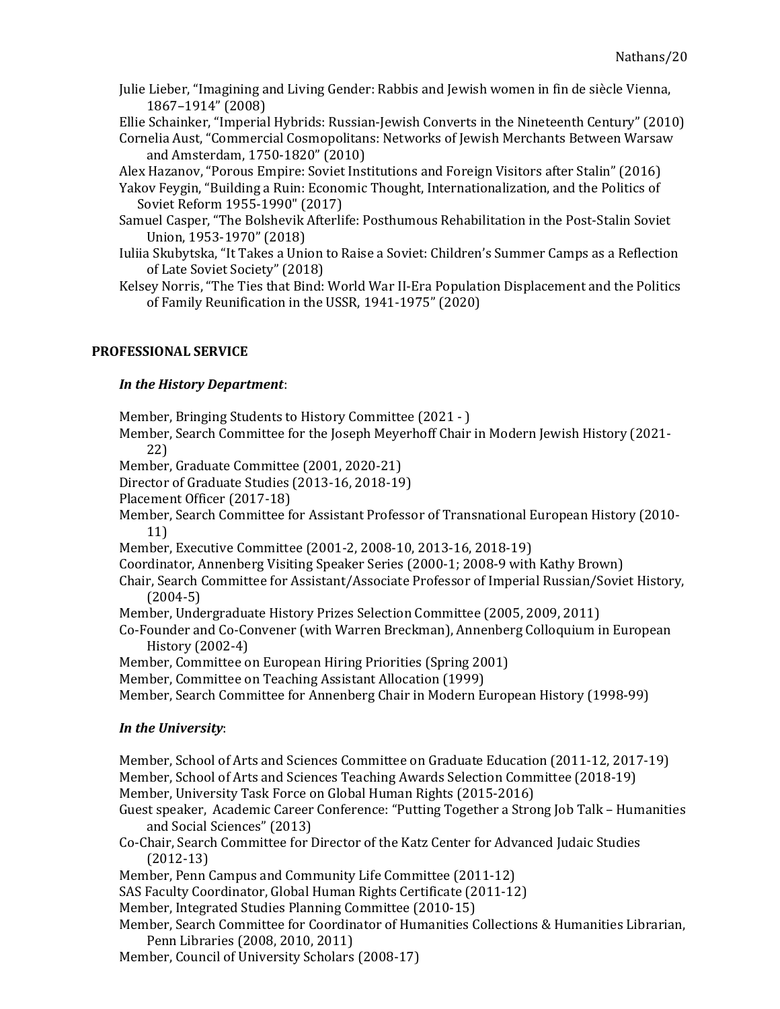Julie Lieber, "Imagining and Living Gender: Rabbis and Jewish women in fin de siècle Vienna, 1867–1914" (2008)

Ellie Schainker, "Imperial Hybrids: Russian-Jewish Converts in the Nineteenth Century" (2010) Cornelia Aust, "Commercial Cosmopolitans: Networks of Jewish Merchants Between Warsaw

and Amsterdam, 1750-1820" (2010)

Alex Hazanov, "Porous Empire: Soviet Institutions and Foreign Visitors after Stalin" (2016)

- Yakov Feygin, "Building a Ruin: Economic Thought, Internationalization, and the Politics of Soviet Reform 1955-1990" (2017)
- Samuel Casper, "The Bolshevik Afterlife: Posthumous Rehabilitation in the Post-Stalin Soviet Union, 1953-1970" (2018)
- Iuliia Skubytska, "It Takes a Union to Raise a Soviet: Children's Summer Camps as a Reflection of Late Soviet Society" (2018)

Kelsey Norris, "The Ties that Bind: World War II-Era Population Displacement and the Politics of Family Reunification in the USSR, 1941-1975" (2020)

### PROFESSIONAL SERVICE

# In the History Department:

Member, Bringing Students to History Committee (2021 - )

Member, Search Committee for the Joseph Meyerhoff Chair in Modern Jewish History (2021- 22)

Member, Graduate Committee (2001, 2020-21)

Director of Graduate Studies (2013-16, 2018-19)

Placement Officer (2017-18)

Member, Search Committee for Assistant Professor of Transnational European History (2010- 11)

Member, Executive Committee (2001-2, 2008-10, 2013-16, 2018-19)

Coordinator, Annenberg Visiting Speaker Series (2000-1; 2008-9 with Kathy Brown)

Chair, Search Committee for Assistant/Associate Professor of Imperial Russian/Soviet History, (2004-5)

- Member, Undergraduate History Prizes Selection Committee (2005, 2009, 2011)
- Co-Founder and Co-Convener (with Warren Breckman), Annenberg Colloquium in European History (2002-4)

Member, Committee on European Hiring Priorities (Spring 2001)

Member, Committee on Teaching Assistant Allocation (1999)

Member, Search Committee for Annenberg Chair in Modern European History (1998-99)

# In the University:

Member, School of Arts and Sciences Committee on Graduate Education (2011-12, 2017-19) Member, School of Arts and Sciences Teaching Awards Selection Committee (2018-19) Member, University Task Force on Global Human Rights (2015-2016) Guest speaker, Academic Career Conference: "Putting Together a Strong Job Talk – Humanities and Social Sciences" (2013) Co-Chair, Search Committee for Director of the Katz Center for Advanced Judaic Studies (2012-13) Member, Penn Campus and Community Life Committee (2011-12) SAS Faculty Coordinator, Global Human Rights Certificate (2011-12) Member, Integrated Studies Planning Committee (2010-15) Member, Search Committee for Coordinator of Humanities Collections & Humanities Librarian, Penn Libraries (2008, 2010, 2011)

Member, Council of University Scholars (2008-17)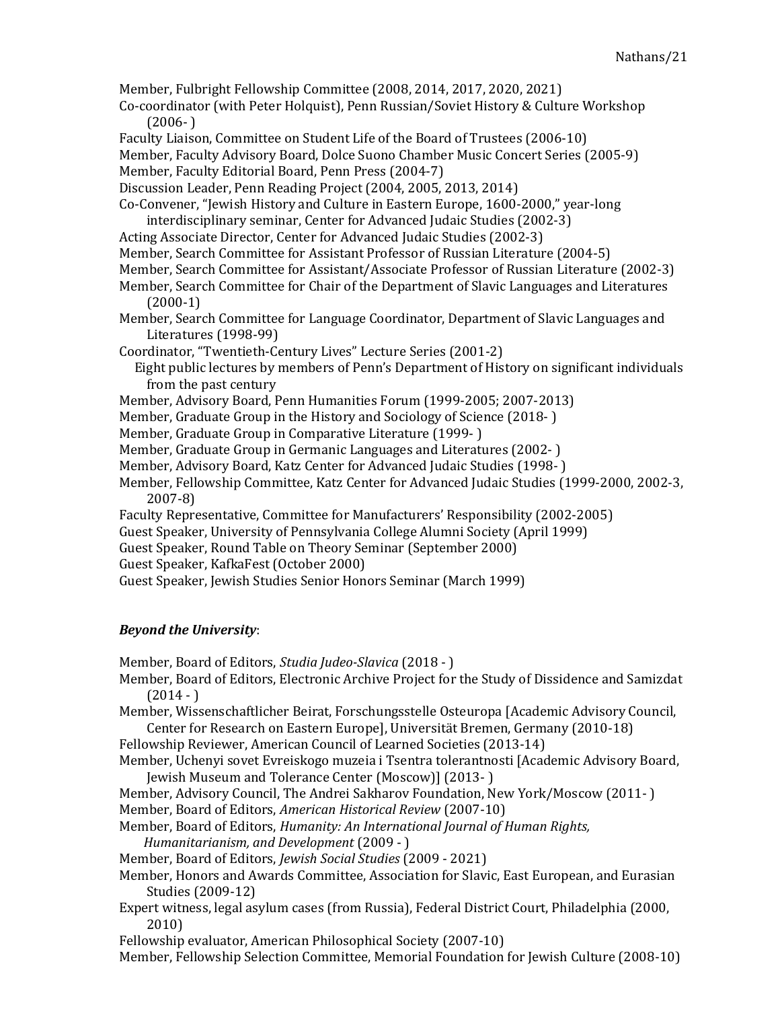Member, Fulbright Fellowship Committee (2008, 2014, 2017, 2020, 2021)

- Co-coordinator (with Peter Holquist), Penn Russian/Soviet History & Culture Workshop  $(2006- )$
- Faculty Liaison, Committee on Student Life of the Board of Trustees (2006-10)

Member, Faculty Advisory Board, Dolce Suono Chamber Music Concert Series (2005-9)

Member, Faculty Editorial Board, Penn Press (2004-7)

Discussion Leader, Penn Reading Project (2004, 2005, 2013, 2014)

Co-Convener, "Jewish History and Culture in Eastern Europe, 1600-2000," year-long interdisciplinary seminar, Center for Advanced Judaic Studies (2002-3)

- Acting Associate Director, Center for Advanced Judaic Studies (2002-3)
- Member, Search Committee for Assistant Professor of Russian Literature (2004-5)
- Member, Search Committee for Assistant/Associate Professor of Russian Literature (2002-3)
- Member, Search Committee for Chair of the Department of Slavic Languages and Literatures (2000-1)
- Member, Search Committee for Language Coordinator, Department of Slavic Languages and Literatures (1998-99)

Coordinator, "Twentieth-Century Lives" Lecture Series (2001-2)

- Eight public lectures by members of Penn's Department of History on significant individuals from the past century
- Member, Advisory Board, Penn Humanities Forum (1999-2005; 2007-2013)
- Member, Graduate Group in the History and Sociology of Science (2018- )
- Member, Graduate Group in Comparative Literature (1999- )
- Member, Graduate Group in Germanic Languages and Literatures (2002- )
- Member, Advisory Board, Katz Center for Advanced Judaic Studies (1998- )
- Member, Fellowship Committee, Katz Center for Advanced Judaic Studies (1999-2000, 2002-3, 2007-8)
- Faculty Representative, Committee for Manufacturers' Responsibility (2002-2005)
- Guest Speaker, University of Pennsylvania College Alumni Society (April 1999)
- Guest Speaker, Round Table on Theory Seminar (September 2000)
- Guest Speaker, KafkaFest (October 2000)

Guest Speaker, Jewish Studies Senior Honors Seminar (March 1999)

# Beyond the University:

Member, Board of Editors, Studia Judeo-Slavica (2018 - )

Member, Board of Editors, Electronic Archive Project for the Study of Dissidence and Samizdat  $(2014 - )$ 

Member, Wissenschaftlicher Beirat, Forschungsstelle Osteuropa [Academic Advisory Council, Center for Research on Eastern Europe], Universität Bremen, Germany (2010-18)

- Fellowship Reviewer, American Council of Learned Societies (2013-14)
- Member, Uchenyi sovet Evreiskogo muzeia i Tsentra tolerantnosti [Academic Advisory Board, Jewish Museum and Tolerance Center (Moscow)] (2013- )

Member, Advisory Council, The Andrei Sakharov Foundation, New York/Moscow (2011- ) Member, Board of Editors, American Historical Review (2007-10)

Member, Board of Editors, Humanity: An International Journal of Human Rights, Humanitarianism, and Development (2009 - )

Member, Board of Editors, Jewish Social Studies (2009 - 2021)

- Member, Honors and Awards Committee, Association for Slavic, East European, and Eurasian Studies (2009-12)
- Expert witness, legal asylum cases (from Russia), Federal District Court, Philadelphia (2000, 2010)

Fellowship evaluator, American Philosophical Society (2007-10)

Member, Fellowship Selection Committee, Memorial Foundation for Jewish Culture (2008-10)